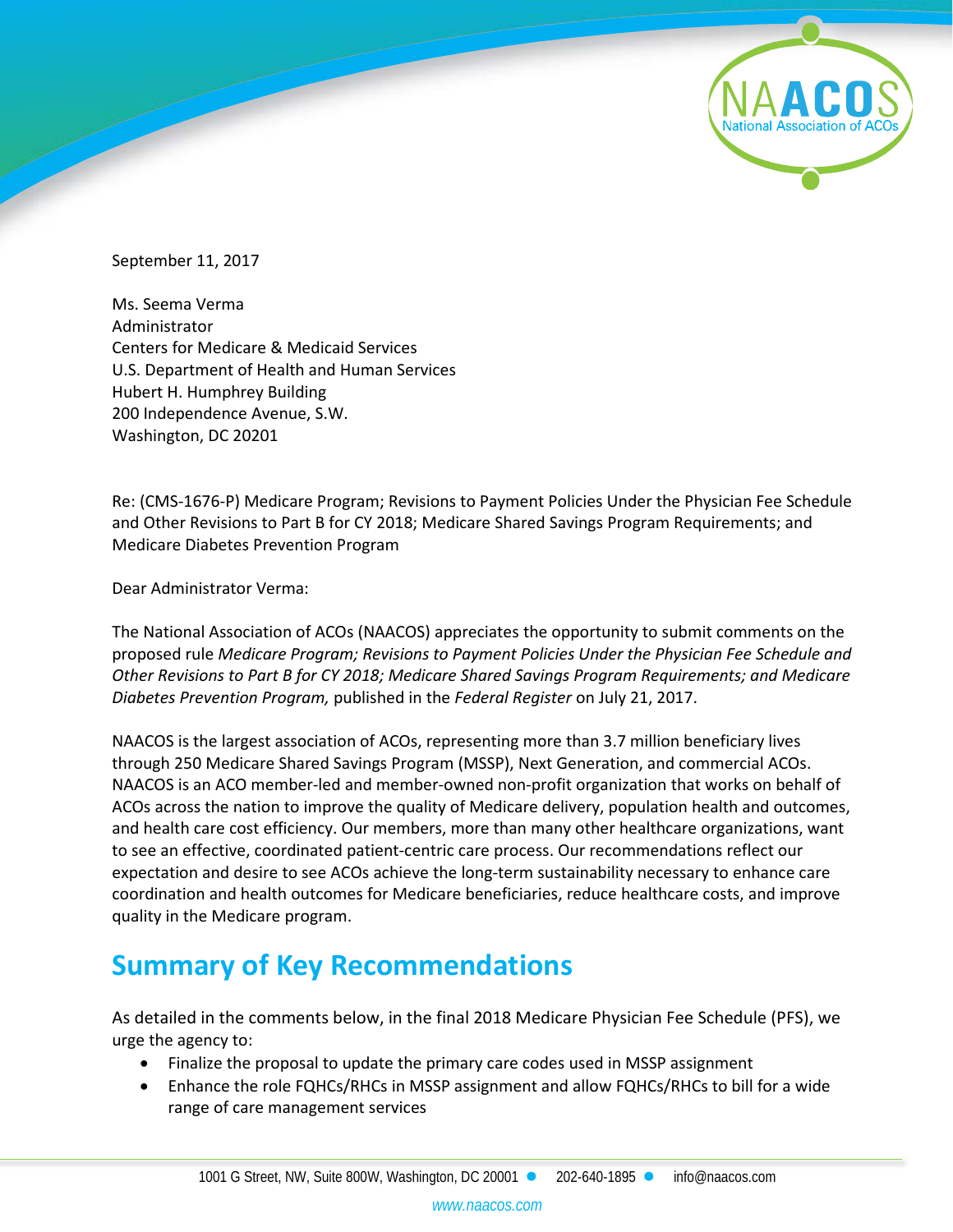September 11, 2017

Ms. Seema Verma Administrator Centers for Medicare & Medicaid Services U.S. Department of Health and Human Services Hubert H. Humphrey Building 200 Independence Avenue, S.W. Washington, DC 20201

Re: (CMS-1676-P) Medicare Program; Revisions to Payment Policies Under the Physician Fee Schedule and Other Revisions to Part B for CY 2018; Medicare Shared Savings Program Requirements; and Medicare Diabetes Prevention Program

Dear Administrator Verma:

The National Association of ACOs (NAACOS) appreciates the opportunity to submit comments on the proposed rule *Medicare Program; Revisions to Payment Policies Under the Physician Fee Schedule and Other Revisions to Part B for CY 2018; Medicare Shared Savings Program Requirements; and Medicare Diabetes Prevention Program,* published in the *Federal Register* on July 21, 2017.

NAACOS is the largest association of ACOs, representing more than 3.7 million beneficiary lives through 250 Medicare Shared Savings Program (MSSP), Next Generation, and commercial ACOs. NAACOS is an ACO member-led and member-owned non-profit organization that works on behalf of ACOs across the nation to improve the quality of Medicare delivery, population health and outcomes, and health care cost efficiency. Our members, more than many other healthcare organizations, want to see an effective, coordinated patient-centric care process. Our recommendations reflect our expectation and desire to see ACOs achieve the long-term sustainability necessary to enhance care coordination and health outcomes for Medicare beneficiaries, reduce healthcare costs, and improve quality in the Medicare program.

# **Summary of Key Recommendations**

As detailed in the comments below, in the final 2018 Medicare Physician Fee Schedule (PFS), we urge the agency to:

- Finalize the proposal to update the primary care codes used in MSSP assignment
- Enhance the role FQHCs/RHCs in MSSP assignment and allow FQHCs/RHCs to bill for a wide range of care management services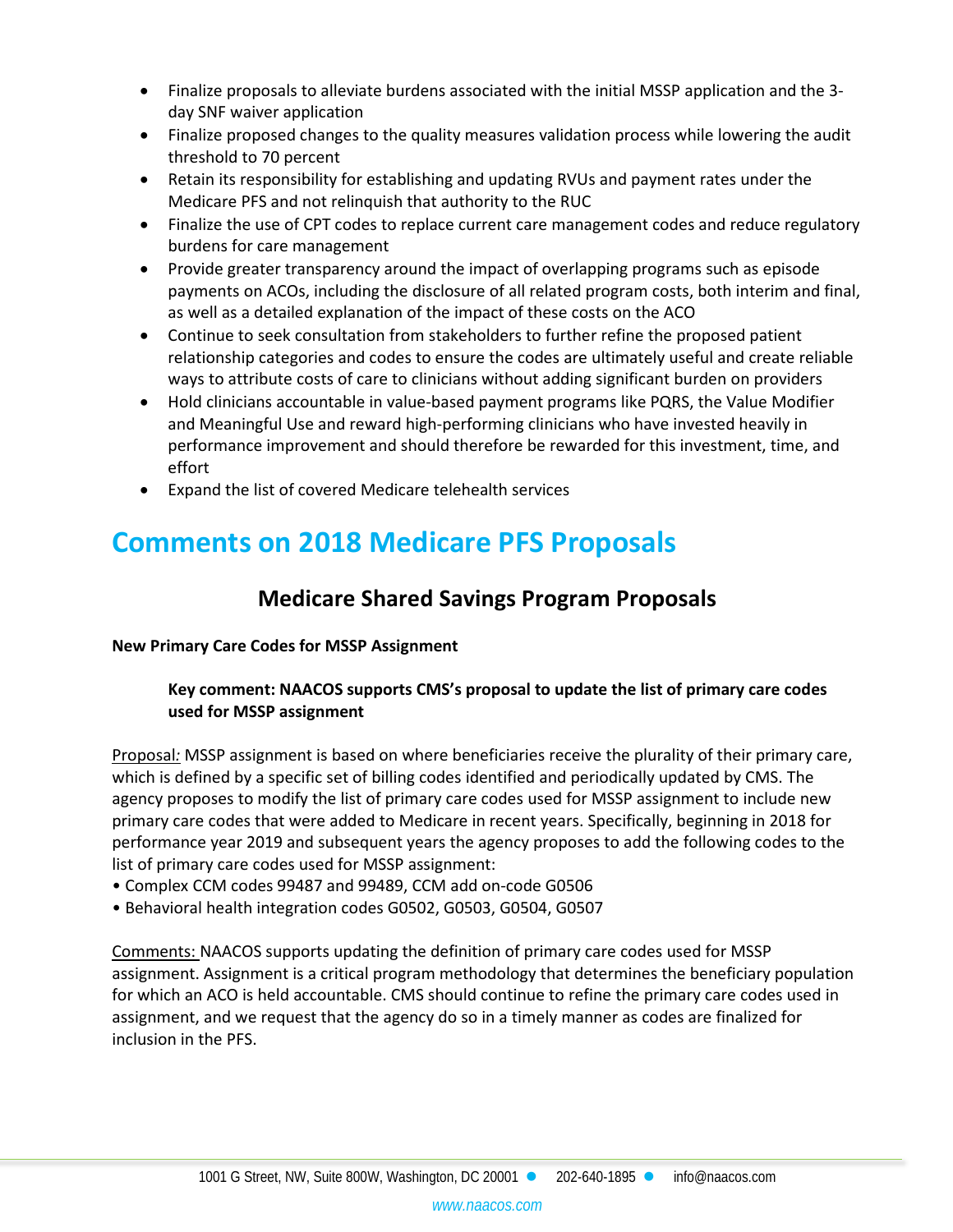- Finalize proposals to alleviate burdens associated with the initial MSSP application and the 3 day SNF waiver application
- Finalize proposed changes to the quality measures validation process while lowering the audit threshold to 70 percent
- Retain its responsibility for establishing and updating RVUs and payment rates under the Medicare PFS and not relinquish that authority to the RUC
- Finalize the use of CPT codes to replace current care management codes and reduce regulatory burdens for care management
- Provide greater transparency around the impact of overlapping programs such as episode payments on ACOs, including the disclosure of all related program costs, both interim and final, as well as a detailed explanation of the impact of these costs on the ACO
- Continue to seek consultation from stakeholders to further refine the proposed patient relationship categories and codes to ensure the codes are ultimately useful and create reliable ways to attribute costs of care to clinicians without adding significant burden on providers
- Hold clinicians accountable in value-based payment programs like PQRS, the Value Modifier and Meaningful Use and reward high-performing clinicians who have invested heavily in performance improvement and should therefore be rewarded for this investment, time, and effort
- Expand the list of covered Medicare telehealth services

# **Comments on 2018 Medicare PFS Proposals**

# **Medicare Shared Savings Program Proposals**

**New Primary Care Codes for MSSP Assignment** 

# **Key comment: NAACOS supports CMS's proposal to update the list of primary care codes used for MSSP assignment**

Proposal*:* MSSP assignment is based on where beneficiaries receive the plurality of their primary care, which is defined by a specific set of billing codes identified and periodically updated by CMS. The agency proposes to modify the list of primary care codes used for MSSP assignment to include new primary care codes that were added to Medicare in recent years. Specifically, beginning in 2018 for performance year 2019 and subsequent years the agency proposes to add the following codes to the list of primary care codes used for MSSP assignment:

- Complex CCM codes 99487 and 99489, CCM add on-code G0506
- Behavioral health integration codes G0502, G0503, G0504, G0507

Comments: NAACOS supports updating the definition of primary care codes used for MSSP assignment. Assignment is a critical program methodology that determines the beneficiary population for which an ACO is held accountable. CMS should continue to refine the primary care codes used in assignment, and we request that the agency do so in a timely manner as codes are finalized for inclusion in the PFS.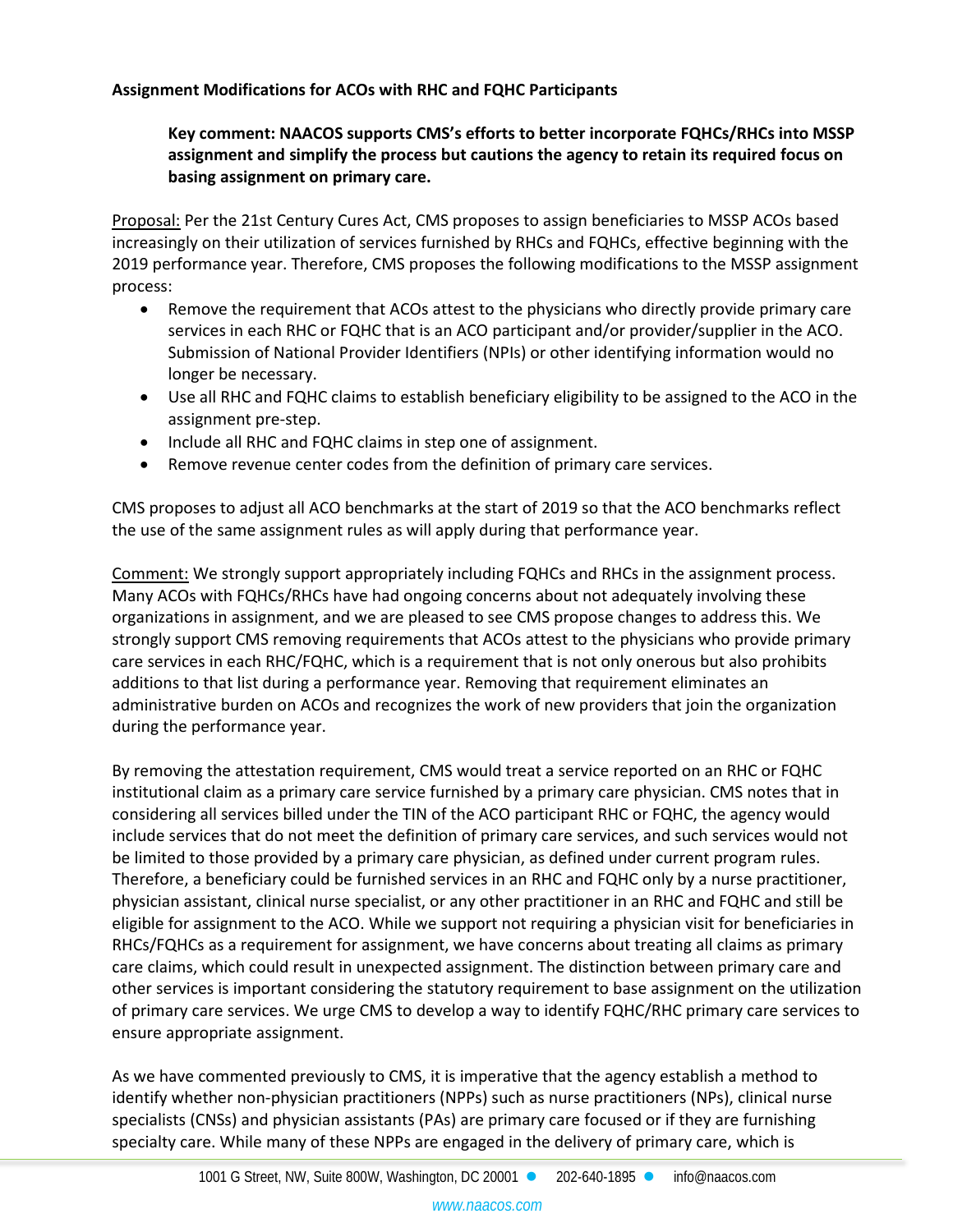# **Assignment Modifications for ACOs with RHC and FQHC Participants**

# **Key comment: NAACOS supports CMS's efforts to better incorporate FQHCs/RHCs into MSSP assignment and simplify the process but cautions the agency to retain its required focus on basing assignment on primary care.**

Proposal: Per the 21st Century Cures Act, CMS proposes to assign beneficiaries to MSSP ACOs based increasingly on their utilization of services furnished by RHCs and FQHCs, effective beginning with the 2019 performance year. Therefore, CMS proposes the following modifications to the MSSP assignment process:

- Remove the requirement that ACOs attest to the physicians who directly provide primary care services in each RHC or FQHC that is an ACO participant and/or provider/supplier in the ACO. Submission of National Provider Identifiers (NPIs) or other identifying information would no longer be necessary.
- Use all RHC and FQHC claims to establish beneficiary eligibility to be assigned to the ACO in the assignment pre-step.
- Include all RHC and FQHC claims in step one of assignment.
- Remove revenue center codes from the definition of primary care services.

CMS proposes to adjust all ACO benchmarks at the start of 2019 so that the ACO benchmarks reflect the use of the same assignment rules as will apply during that performance year.

Comment: We strongly support appropriately including FQHCs and RHCs in the assignment process. Many ACOs with FQHCs/RHCs have had ongoing concerns about not adequately involving these organizations in assignment, and we are pleased to see CMS propose changes to address this. We strongly support CMS removing requirements that ACOs attest to the physicians who provide primary care services in each RHC/FQHC, which is a requirement that is not only onerous but also prohibits additions to that list during a performance year. Removing that requirement eliminates an administrative burden on ACOs and recognizes the work of new providers that join the organization during the performance year.

By removing the attestation requirement, CMS would treat a service reported on an RHC or FQHC institutional claim as a primary care service furnished by a primary care physician. CMS notes that in considering all services billed under the TIN of the ACO participant RHC or FQHC, the agency would include services that do not meet the definition of primary care services, and such services would not be limited to those provided by a primary care physician, as defined under current program rules. Therefore, a beneficiary could be furnished services in an RHC and FQHC only by a nurse practitioner, physician assistant, clinical nurse specialist, or any other practitioner in an RHC and FQHC and still be eligible for assignment to the ACO. While we support not requiring a physician visit for beneficiaries in RHCs/FQHCs as a requirement for assignment, we have concerns about treating all claims as primary care claims, which could result in unexpected assignment. The distinction between primary care and other services is important considering the statutory requirement to base assignment on the utilization of primary care services. We urge CMS to develop a way to identify FQHC/RHC primary care services to ensure appropriate assignment.

As we have commented previously to CMS, it is imperative that the agency establish a method to identify whether non-physician practitioners (NPPs) such as nurse practitioners (NPs), clinical nurse specialists (CNSs) and physician assistants (PAs) are primary care focused or if they are furnishing specialty care. While many of these NPPs are engaged in the delivery of primary care, which is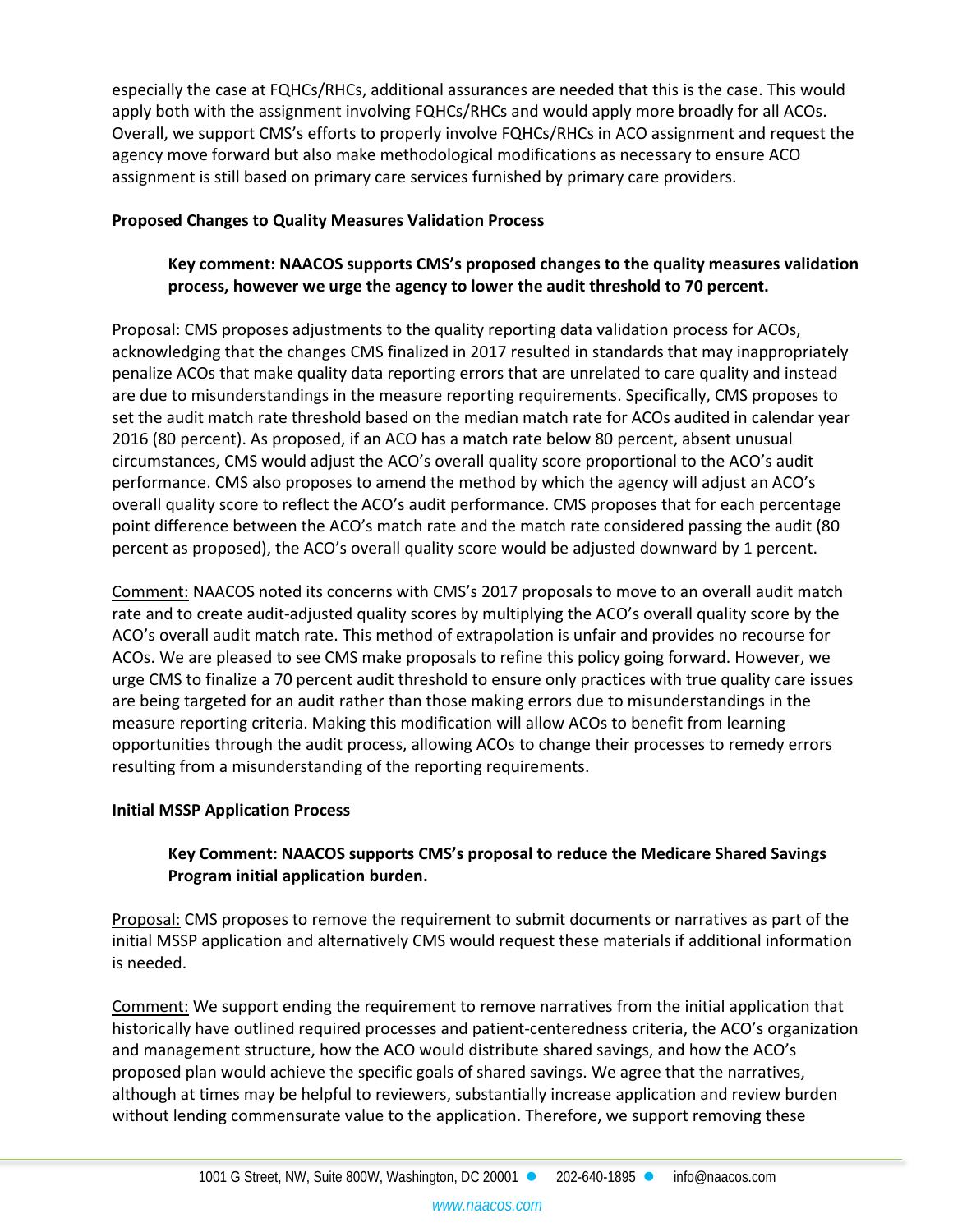especially the case at FQHCs/RHCs, additional assurances are needed that this is the case. This would apply both with the assignment involving FQHCs/RHCs and would apply more broadly for all ACOs. Overall, we support CMS's efforts to properly involve FQHCs/RHCs in ACO assignment and request the agency move forward but also make methodological modifications as necessary to ensure ACO assignment is still based on primary care services furnished by primary care providers.

#### **Proposed Changes to Quality Measures Validation Process**

# **Key comment: NAACOS supports CMS's proposed changes to the quality measures validation process, however we urge the agency to lower the audit threshold to 70 percent.**

Proposal: CMS proposes adjustments to the quality reporting data validation process for ACOs, acknowledging that the changes CMS finalized in 2017 resulted in standards that may inappropriately penalize ACOs that make quality data reporting errors that are unrelated to care quality and instead are due to misunderstandings in the measure reporting requirements. Specifically, CMS proposes to set the audit match rate threshold based on the median match rate for ACOs audited in calendar year 2016 (80 percent). As proposed, if an ACO has a match rate below 80 percent, absent unusual circumstances, CMS would adjust the ACO's overall quality score proportional to the ACO's audit performance. CMS also proposes to amend the method by which the agency will adjust an ACO's overall quality score to reflect the ACO's audit performance. CMS proposes that for each percentage point difference between the ACO's match rate and the match rate considered passing the audit (80 percent as proposed), the ACO's overall quality score would be adjusted downward by 1 percent.

Comment: NAACOS noted its concerns with CMS's 2017 proposals to move to an overall audit match rate and to create audit-adjusted quality scores by multiplying the ACO's overall quality score by the ACO's overall audit match rate. This method of extrapolation is unfair and provides no recourse for ACOs. We are pleased to see CMS make proposals to refine this policy going forward. However, we urge CMS to finalize a 70 percent audit threshold to ensure only practices with true quality care issues are being targeted for an audit rather than those making errors due to misunderstandings in the measure reporting criteria. Making this modification will allow ACOs to benefit from learning opportunities through the audit process, allowing ACOs to change their processes to remedy errors resulting from a misunderstanding of the reporting requirements.

#### **Initial MSSP Application Process**

# **Key Comment: NAACOS supports CMS's proposal to reduce the Medicare Shared Savings Program initial application burden.**

Proposal: CMS proposes to remove the requirement to submit documents or narratives as part of the initial MSSP application and alternatively CMS would request these materials if additional information is needed.

Comment: We support ending the requirement to remove narratives from the initial application that historically have outlined required processes and patient-centeredness criteria, the ACO's organization and management structure, how the ACO would distribute shared savings, and how the ACO's proposed plan would achieve the specific goals of shared savings. We agree that the narratives, although at times may be helpful to reviewers, substantially increase application and review burden without lending commensurate value to the application. Therefore, we support removing these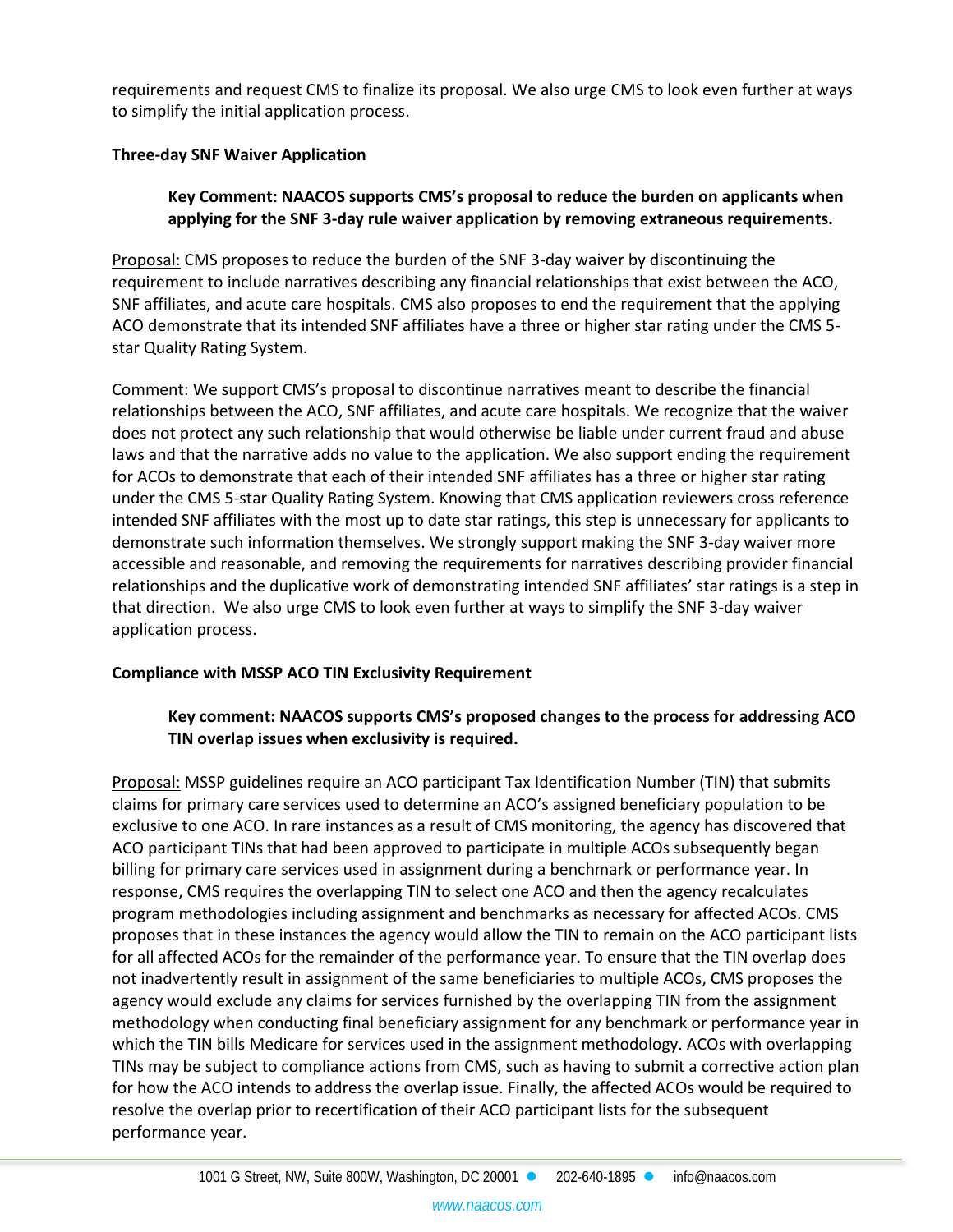requirements and request CMS to finalize its proposal. We also urge CMS to look even further at ways to simplify the initial application process.

## **Three-day SNF Waiver Application**

## **Key Comment: NAACOS supports CMS's proposal to reduce the burden on applicants when applying for the SNF 3-day rule waiver application by removing extraneous requirements.**

Proposal: CMS proposes to reduce the burden of the SNF 3-day waiver by discontinuing the requirement to include narratives describing any financial relationships that exist between the ACO, SNF affiliates, and acute care hospitals. CMS also proposes to end the requirement that the applying ACO demonstrate that its intended SNF affiliates have a three or higher star rating under the CMS 5 star Quality Rating System.

Comment: We support CMS's proposal to discontinue narratives meant to describe the financial relationships between the ACO, SNF affiliates, and acute care hospitals. We recognize that the waiver does not protect any such relationship that would otherwise be liable under current fraud and abuse laws and that the narrative adds no value to the application. We also support ending the requirement for ACOs to demonstrate that each of their intended SNF affiliates has a three or higher star rating under the CMS 5-star Quality Rating System. Knowing that CMS application reviewers cross reference intended SNF affiliates with the most up to date star ratings, this step is unnecessary for applicants to demonstrate such information themselves. We strongly support making the SNF 3-day waiver more accessible and reasonable, and removing the requirements for narratives describing provider financial relationships and the duplicative work of demonstrating intended SNF affiliates' star ratings is a step in that direction. We also urge CMS to look even further at ways to simplify the SNF 3-day waiver application process.

# **Compliance with MSSP ACO TIN Exclusivity Requirement**

# **Key comment: NAACOS supports CMS's proposed changes to the process for addressing ACO TIN overlap issues when exclusivity is required.**

Proposal: MSSP guidelines require an ACO participant Tax Identification Number (TIN) that submits claims for primary care services used to determine an ACO's assigned beneficiary population to be exclusive to one ACO. In rare instances as a result of CMS monitoring, the agency has discovered that ACO participant TINs that had been approved to participate in multiple ACOs subsequently began billing for primary care services used in assignment during a benchmark or performance year. In response, CMS requires the overlapping TIN to select one ACO and then the agency recalculates program methodologies including assignment and benchmarks as necessary for affected ACOs. CMS proposes that in these instances the agency would allow the TIN to remain on the ACO participant lists for all affected ACOs for the remainder of the performance year. To ensure that the TIN overlap does not inadvertently result in assignment of the same beneficiaries to multiple ACOs, CMS proposes the agency would exclude any claims for services furnished by the overlapping TIN from the assignment methodology when conducting final beneficiary assignment for any benchmark or performance year in which the TIN bills Medicare for services used in the assignment methodology. ACOs with overlapping TINs may be subject to compliance actions from CMS, such as having to submit a corrective action plan for how the ACO intends to address the overlap issue. Finally, the affected ACOs would be required to resolve the overlap prior to recertification of their ACO participant lists for the subsequent performance year.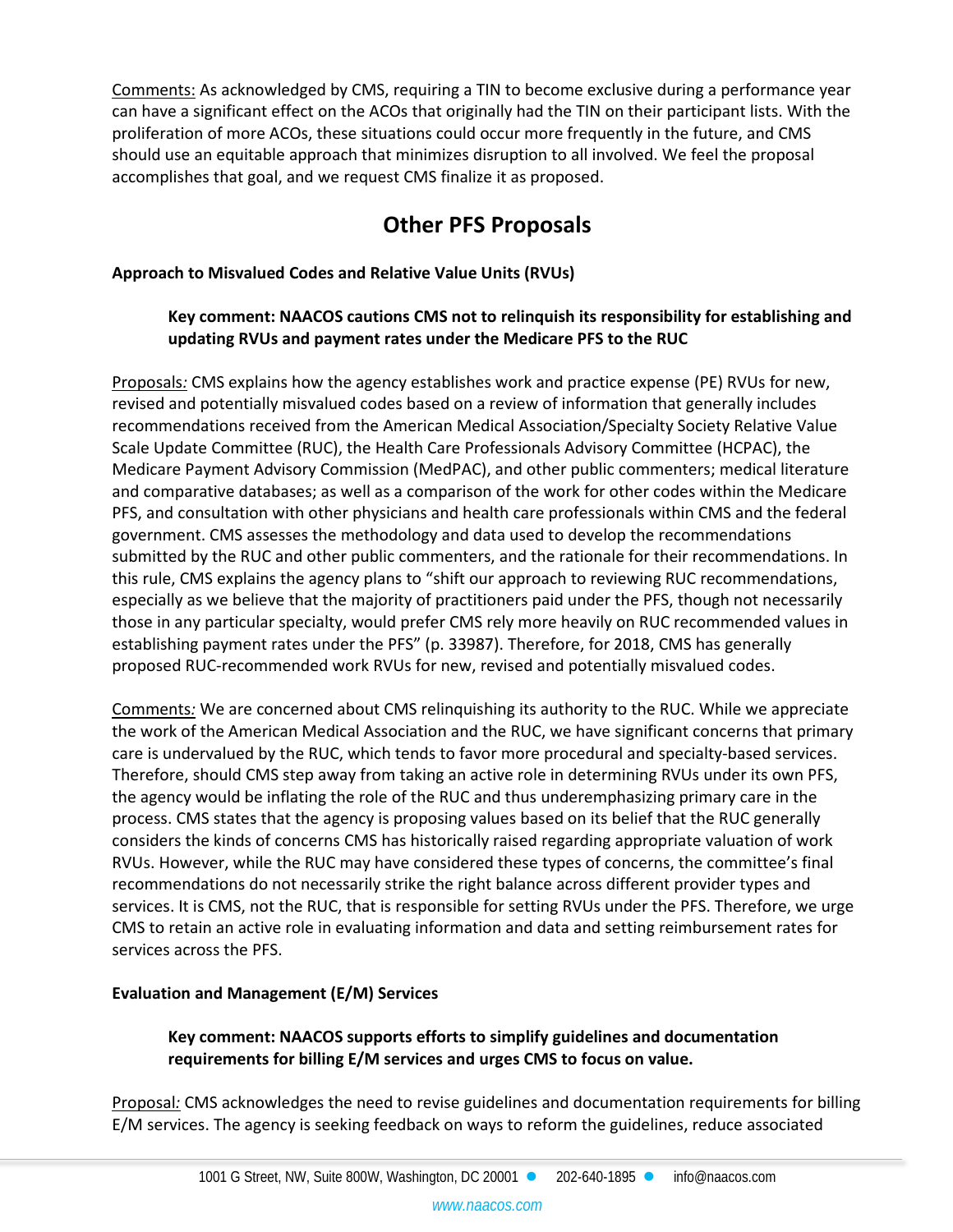Comments: As acknowledged by CMS, requiring a TIN to become exclusive during a performance year can have a significant effect on the ACOs that originally had the TIN on their participant lists. With the proliferation of more ACOs, these situations could occur more frequently in the future, and CMS should use an equitable approach that minimizes disruption to all involved. We feel the proposal accomplishes that goal, and we request CMS finalize it as proposed.

# **Other PFS Proposals**

# **Approach to Misvalued Codes and Relative Value Units (RVUs)**

# **Key comment: NAACOS cautions CMS not to relinquish its responsibility for establishing and updating RVUs and payment rates under the Medicare PFS to the RUC**

Proposals*:* CMS explains how the agency establishes work and practice expense (PE) RVUs for new, revised and potentially misvalued codes based on a review of information that generally includes recommendations received from the American Medical Association/Specialty Society Relative Value Scale Update Committee (RUC), the Health Care Professionals Advisory Committee (HCPAC), the Medicare Payment Advisory Commission (MedPAC), and other public commenters; medical literature and comparative databases; as well as a comparison of the work for other codes within the Medicare PFS, and consultation with other physicians and health care professionals within CMS and the federal government. CMS assesses the methodology and data used to develop the recommendations submitted by the RUC and other public commenters, and the rationale for their recommendations. In this rule, CMS explains the agency plans to "shift our approach to reviewing RUC recommendations, especially as we believe that the majority of practitioners paid under the PFS, though not necessarily those in any particular specialty, would prefer CMS rely more heavily on RUC recommended values in establishing payment rates under the PFS" (p. 33987). Therefore, for 2018, CMS has generally proposed RUC-recommended work RVUs for new, revised and potentially misvalued codes.

Comments*:* We are concerned about CMS relinquishing its authority to the RUC. While we appreciate the work of the American Medical Association and the RUC, we have significant concerns that primary care is undervalued by the RUC, which tends to favor more procedural and specialty-based services. Therefore, should CMS step away from taking an active role in determining RVUs under its own PFS, the agency would be inflating the role of the RUC and thus underemphasizing primary care in the process. CMS states that the agency is proposing values based on its belief that the RUC generally considers the kinds of concerns CMS has historically raised regarding appropriate valuation of work RVUs. However, while the RUC may have considered these types of concerns, the committee's final recommendations do not necessarily strike the right balance across different provider types and services. It is CMS, not the RUC, that is responsible for setting RVUs under the PFS. Therefore, we urge CMS to retain an active role in evaluating information and data and setting reimbursement rates for services across the PFS.

# **Evaluation and Management (E/M) Services**

# **Key comment: NAACOS supports efforts to simplify guidelines and documentation requirements for billing E/M services and urges CMS to focus on value.**

Proposal*:* CMS acknowledges the need to revise guidelines and documentation requirements for billing E/M services. The agency is seeking feedback on ways to reform the guidelines, reduce associated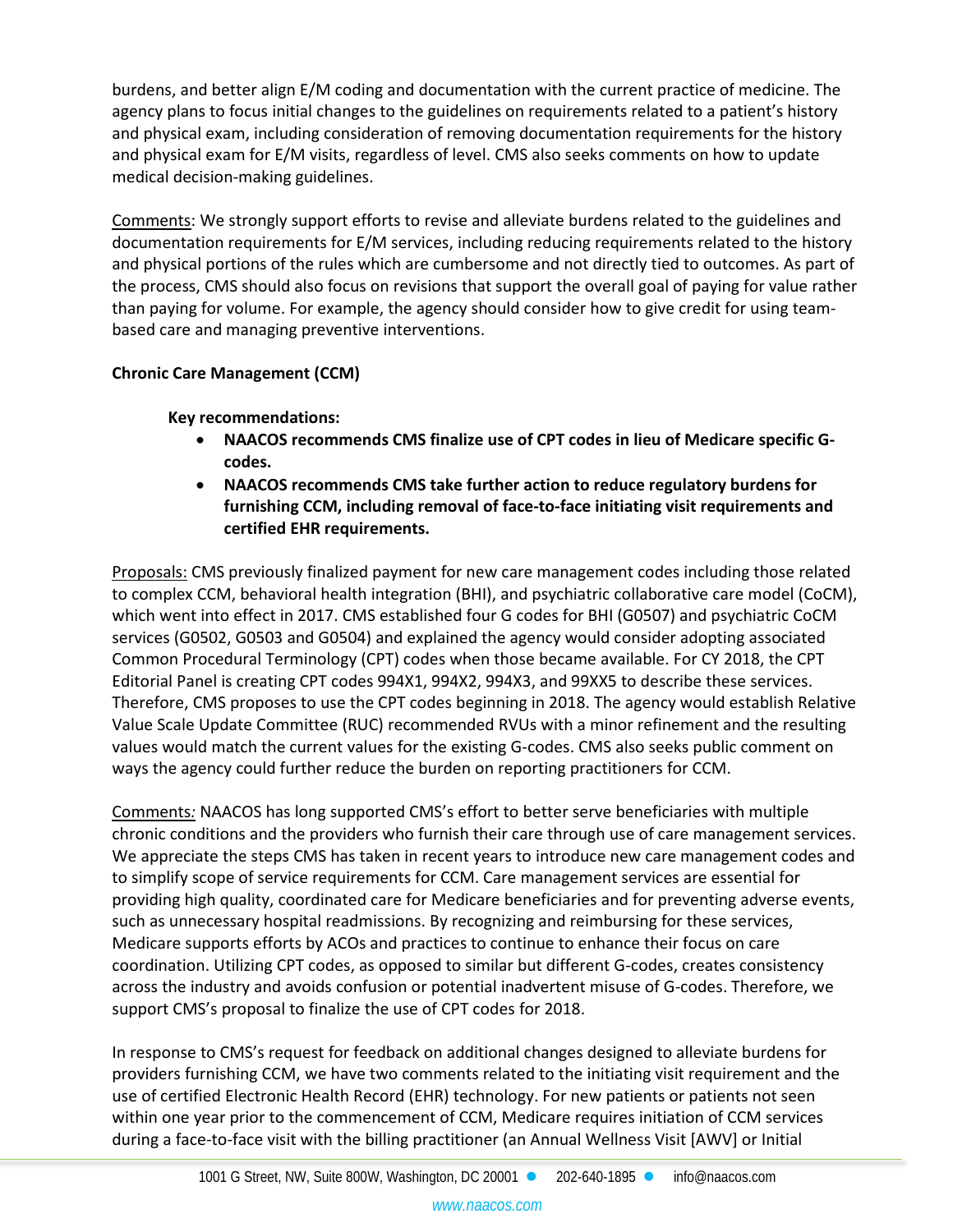burdens, and better align E/M coding and documentation with the current practice of medicine. The agency plans to focus initial changes to the guidelines on requirements related to a patient's history and physical exam, including consideration of removing documentation requirements for the history and physical exam for E/M visits, regardless of level. CMS also seeks comments on how to update medical decision-making guidelines.

Comments: We strongly support efforts to revise and alleviate burdens related to the guidelines and documentation requirements for E/M services, including reducing requirements related to the history and physical portions of the rules which are cumbersome and not directly tied to outcomes. As part of the process, CMS should also focus on revisions that support the overall goal of paying for value rather than paying for volume. For example, the agency should consider how to give credit for using teambased care and managing preventive interventions.

# **Chronic Care Management (CCM)**

**Key recommendations:**

- **NAACOS recommends CMS finalize use of CPT codes in lieu of Medicare specific Gcodes.**
- **NAACOS recommends CMS take further action to reduce regulatory burdens for furnishing CCM, including removal of face-to-face initiating visit requirements and certified EHR requirements.**

Proposals: CMS previously finalized payment for new care management codes including those related to complex CCM, behavioral health integration (BHI), and psychiatric collaborative care model (CoCM), which went into effect in 2017. CMS established four G codes for BHI (G0507) and psychiatric CoCM services (G0502, G0503 and G0504) and explained the agency would consider adopting associated Common Procedural Terminology (CPT) codes when those became available. For CY 2018, the CPT Editorial Panel is creating CPT codes 994X1, 994X2, 994X3, and 99XX5 to describe these services. Therefore, CMS proposes to use the CPT codes beginning in 2018. The agency would establish Relative Value Scale Update Committee (RUC) recommended RVUs with a minor refinement and the resulting values would match the current values for the existing G-codes. CMS also seeks public comment on ways the agency could further reduce the burden on reporting practitioners for CCM.

Comments*:* NAACOS has long supported CMS's effort to better serve beneficiaries with multiple chronic conditions and the providers who furnish their care through use of care management services. We appreciate the steps CMS has taken in recent years to introduce new care management codes and to simplify scope of service requirements for CCM. Care management services are essential for providing high quality, coordinated care for Medicare beneficiaries and for preventing adverse events, such as unnecessary hospital readmissions. By recognizing and reimbursing for these services, Medicare supports efforts by ACOs and practices to continue to enhance their focus on care coordination. Utilizing CPT codes, as opposed to similar but different G-codes, creates consistency across the industry and avoids confusion or potential inadvertent misuse of G-codes. Therefore, we support CMS's proposal to finalize the use of CPT codes for 2018.

In response to CMS's request for feedback on additional changes designed to alleviate burdens for providers furnishing CCM, we have two comments related to the initiating visit requirement and the use of certified Electronic Health Record (EHR) technology. For new patients or patients not seen within one year prior to the commencement of CCM, Medicare requires initiation of CCM services during a face-to-face visit with the billing practitioner (an Annual Wellness Visit [AWV] or Initial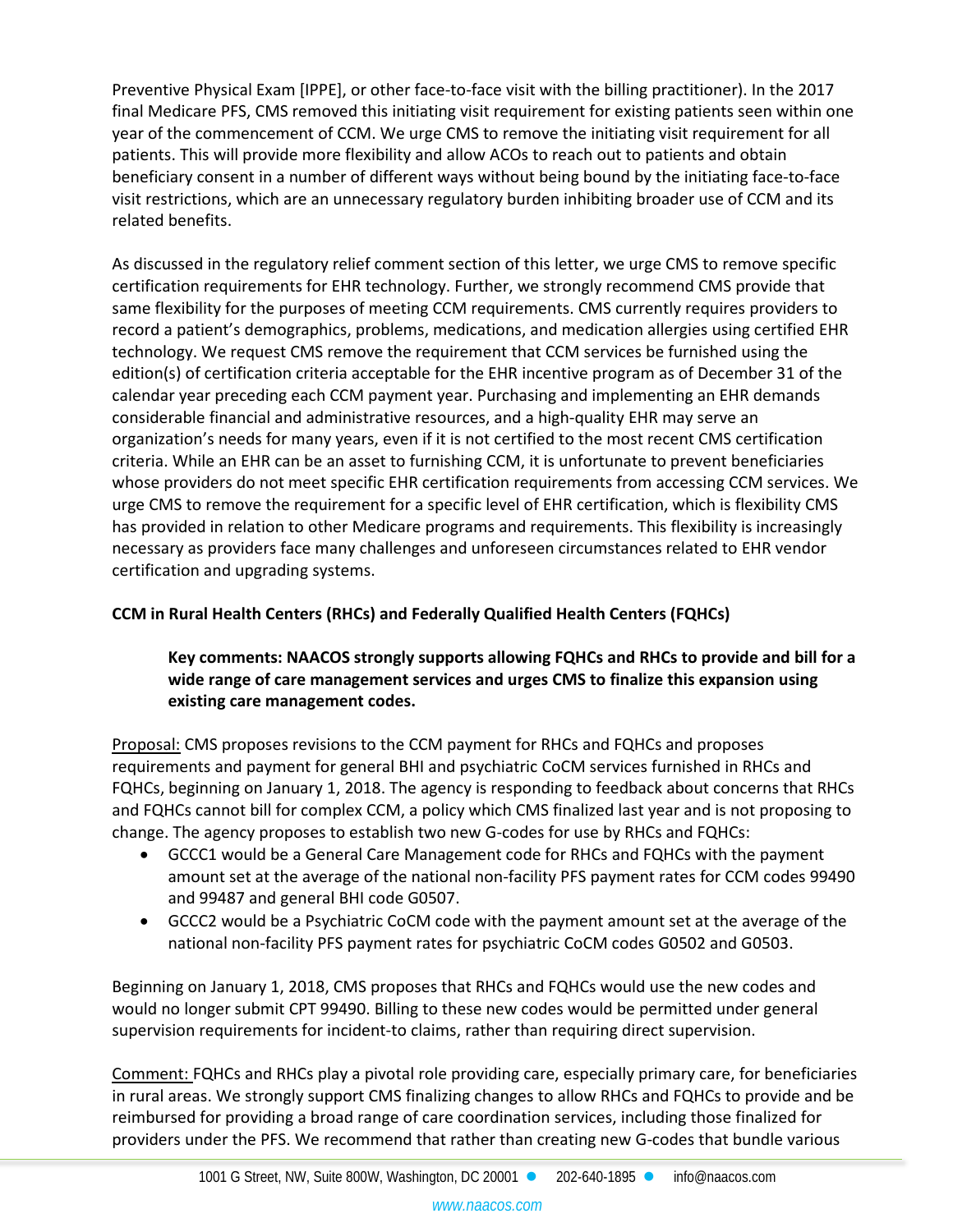Preventive Physical Exam [IPPE], or other face-to-face visit with the billing practitioner). In the 2017 final Medicare PFS, CMS removed this initiating visit requirement for existing patients seen within one year of the commencement of CCM. We urge CMS to remove the initiating visit requirement for all patients. This will provide more flexibility and allow ACOs to reach out to patients and obtain beneficiary consent in a number of different ways without being bound by the initiating face-to-face visit restrictions, which are an unnecessary regulatory burden inhibiting broader use of CCM and its related benefits.

As discussed in the regulatory relief comment section of this letter, we urge CMS to remove specific certification requirements for EHR technology. Further, we strongly recommend CMS provide that same flexibility for the purposes of meeting CCM requirements. CMS currently requires providers to record a patient's demographics, problems, medications, and medication allergies using certified EHR technology. We request CMS remove the requirement that CCM services be furnished using the edition(s) of certification criteria acceptable for the EHR incentive program as of December 31 of the calendar year preceding each CCM payment year. Purchasing and implementing an EHR demands considerable financial and administrative resources, and a high-quality EHR may serve an organization's needs for many years, even if it is not certified to the most recent CMS certification criteria. While an EHR can be an asset to furnishing CCM, it is unfortunate to prevent beneficiaries whose providers do not meet specific EHR certification requirements from accessing CCM services. We urge CMS to remove the requirement for a specific level of EHR certification, which is flexibility CMS has provided in relation to other Medicare programs and requirements. This flexibility is increasingly necessary as providers face many challenges and unforeseen circumstances related to EHR vendor certification and upgrading systems.

# **CCM in Rural Health Centers (RHCs) and Federally Qualified Health Centers (FQHCs)**

# **Key comments: NAACOS strongly supports allowing FQHCs and RHCs to provide and bill for a wide range of care management services and urges CMS to finalize this expansion using existing care management codes.**

Proposal: CMS proposes revisions to the CCM payment for RHCs and FQHCs and proposes requirements and payment for general BHI and psychiatric CoCM services furnished in RHCs and FQHCs, beginning on January 1, 2018. The agency is responding to feedback about concerns that RHCs and FQHCs cannot bill for complex CCM, a policy which CMS finalized last year and is not proposing to change. The agency proposes to establish two new G-codes for use by RHCs and FQHCs:

- GCCC1 would be a General Care Management code for RHCs and FQHCs with the payment amount set at the average of the national non-facility PFS payment rates for CCM codes 99490 and 99487 and general BHI code G0507.
- GCCC2 would be a Psychiatric CoCM code with the payment amount set at the average of the national non-facility PFS payment rates for psychiatric CoCM codes G0502 and G0503.

Beginning on January 1, 2018, CMS proposes that RHCs and FQHCs would use the new codes and would no longer submit CPT 99490. Billing to these new codes would be permitted under general supervision requirements for incident-to claims, rather than requiring direct supervision.

Comment: FQHCs and RHCs play a pivotal role providing care, especially primary care, for beneficiaries in rural areas. We strongly support CMS finalizing changes to allow RHCs and FQHCs to provide and be reimbursed for providing a broad range of care coordination services, including those finalized for providers under the PFS. We recommend that rather than creating new G-codes that bundle various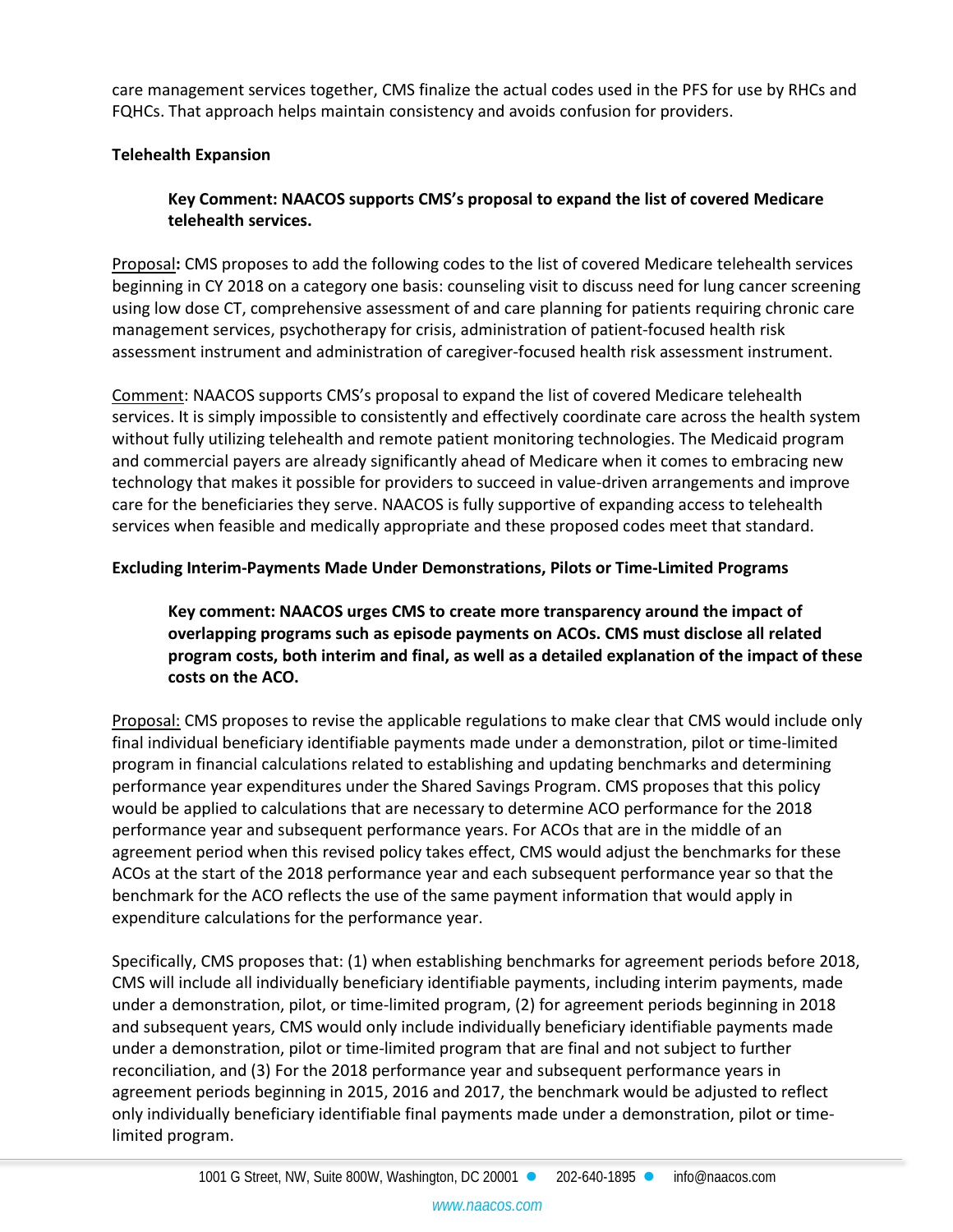care management services together, CMS finalize the actual codes used in the PFS for use by RHCs and FQHCs. That approach helps maintain consistency and avoids confusion for providers.

# **Telehealth Expansion**

# **Key Comment: NAACOS supports CMS's proposal to expand the list of covered Medicare telehealth services.**

Proposal**:** CMS proposes to add the following codes to the list of covered Medicare telehealth services beginning in CY 2018 on a category one basis: counseling visit to discuss need for lung cancer screening using low dose CT, comprehensive assessment of and care planning for patients requiring chronic care management services, psychotherapy for crisis, administration of patient-focused health risk assessment instrument and administration of caregiver-focused health risk assessment instrument.

Comment: NAACOS supports CMS's proposal to expand the list of covered Medicare telehealth services. It is simply impossible to consistently and effectively coordinate care across the health system without fully utilizing telehealth and remote patient monitoring technologies. The Medicaid program and commercial payers are already significantly ahead of Medicare when it comes to embracing new technology that makes it possible for providers to succeed in value-driven arrangements and improve care for the beneficiaries they serve. NAACOS is fully supportive of expanding access to telehealth services when feasible and medically appropriate and these proposed codes meet that standard.

# **Excluding Interim-Payments Made Under Demonstrations, Pilots or Time-Limited Programs**

# **Key comment: NAACOS urges CMS to create more transparency around the impact of overlapping programs such as episode payments on ACOs. CMS must disclose all related program costs, both interim and final, as well as a detailed explanation of the impact of these costs on the ACO.**

Proposal: CMS proposes to revise the applicable regulations to make clear that CMS would include only final individual beneficiary identifiable payments made under a demonstration, pilot or time-limited program in financial calculations related to establishing and updating benchmarks and determining performance year expenditures under the Shared Savings Program. CMS proposes that this policy would be applied to calculations that are necessary to determine ACO performance for the 2018 performance year and subsequent performance years. For ACOs that are in the middle of an agreement period when this revised policy takes effect, CMS would adjust the benchmarks for these ACOs at the start of the 2018 performance year and each subsequent performance year so that the benchmark for the ACO reflects the use of the same payment information that would apply in expenditure calculations for the performance year.

Specifically, CMS proposes that: (1) when establishing benchmarks for agreement periods before 2018, CMS will include all individually beneficiary identifiable payments, including interim payments, made under a demonstration, pilot, or time-limited program, (2) for agreement periods beginning in 2018 and subsequent years, CMS would only include individually beneficiary identifiable payments made under a demonstration, pilot or time-limited program that are final and not subject to further reconciliation, and (3) For the 2018 performance year and subsequent performance years in agreement periods beginning in 2015, 2016 and 2017, the benchmark would be adjusted to reflect only individually beneficiary identifiable final payments made under a demonstration, pilot or timelimited program.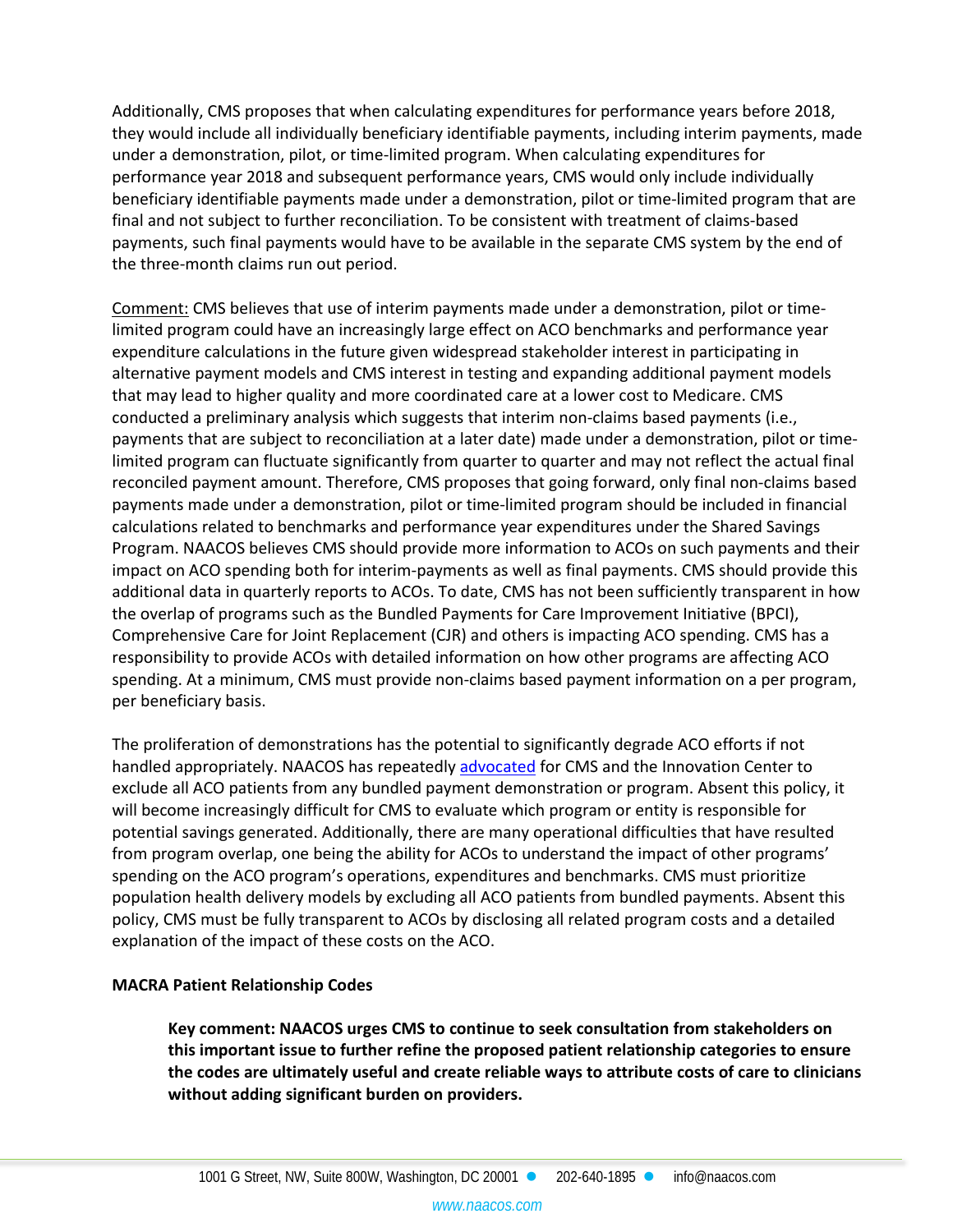Additionally, CMS proposes that when calculating expenditures for performance years before 2018, they would include all individually beneficiary identifiable payments, including interim payments, made under a demonstration, pilot, or time-limited program. When calculating expenditures for performance year 2018 and subsequent performance years, CMS would only include individually beneficiary identifiable payments made under a demonstration, pilot or time-limited program that are final and not subject to further reconciliation. To be consistent with treatment of claims-based payments, such final payments would have to be available in the separate CMS system by the end of the three-month claims run out period.

Comment: CMS believes that use of interim payments made under a demonstration, pilot or timelimited program could have an increasingly large effect on ACO benchmarks and performance year expenditure calculations in the future given widespread stakeholder interest in participating in alternative payment models and CMS interest in testing and expanding additional payment models that may lead to higher quality and more coordinated care at a lower cost to Medicare. CMS conducted a preliminary analysis which suggests that interim non-claims based payments (i.e., payments that are subject to reconciliation at a later date) made under a demonstration, pilot or timelimited program can fluctuate significantly from quarter to quarter and may not reflect the actual final reconciled payment amount. Therefore, CMS proposes that going forward, only final non-claims based payments made under a demonstration, pilot or time-limited program should be included in financial calculations related to benchmarks and performance year expenditures under the Shared Savings Program. NAACOS believes CMS should provide more information to ACOs on such payments and their impact on ACO spending both for interim-payments as well as final payments. CMS should provide this additional data in quarterly reports to ACOs. To date, CMS has not been sufficiently transparent in how the overlap of programs such as the Bundled Payments for Care Improvement Initiative (BPCI), Comprehensive Care for Joint Replacement (CJR) and others is impacting ACO spending. CMS has a responsibility to provide ACOs with detailed information on how other programs are affecting ACO spending. At a minimum, CMS must provide non-claims based payment information on a per program, per beneficiary basis.

The proliferation of demonstrations has the potential to significantly degrade ACO efforts if not handled appropriately. NAACOS has repeatedly [advocated](https://www.naacos.com/bundled-payments) for CMS and the Innovation Center to exclude all ACO patients from any bundled payment demonstration or program. Absent this policy, it will become increasingly difficult for CMS to evaluate which program or entity is responsible for potential savings generated. Additionally, there are many operational difficulties that have resulted from program overlap, one being the ability for ACOs to understand the impact of other programs' spending on the ACO program's operations, expenditures and benchmarks. CMS must prioritize population health delivery models by excluding all ACO patients from bundled payments. Absent this policy, CMS must be fully transparent to ACOs by disclosing all related program costs and a detailed explanation of the impact of these costs on the ACO.

#### **MACRA Patient Relationship Codes**

**Key comment: NAACOS urges CMS to continue to seek consultation from stakeholders on this important issue to further refine the proposed patient relationship categories to ensure the codes are ultimately useful and create reliable ways to attribute costs of care to clinicians without adding significant burden on providers.**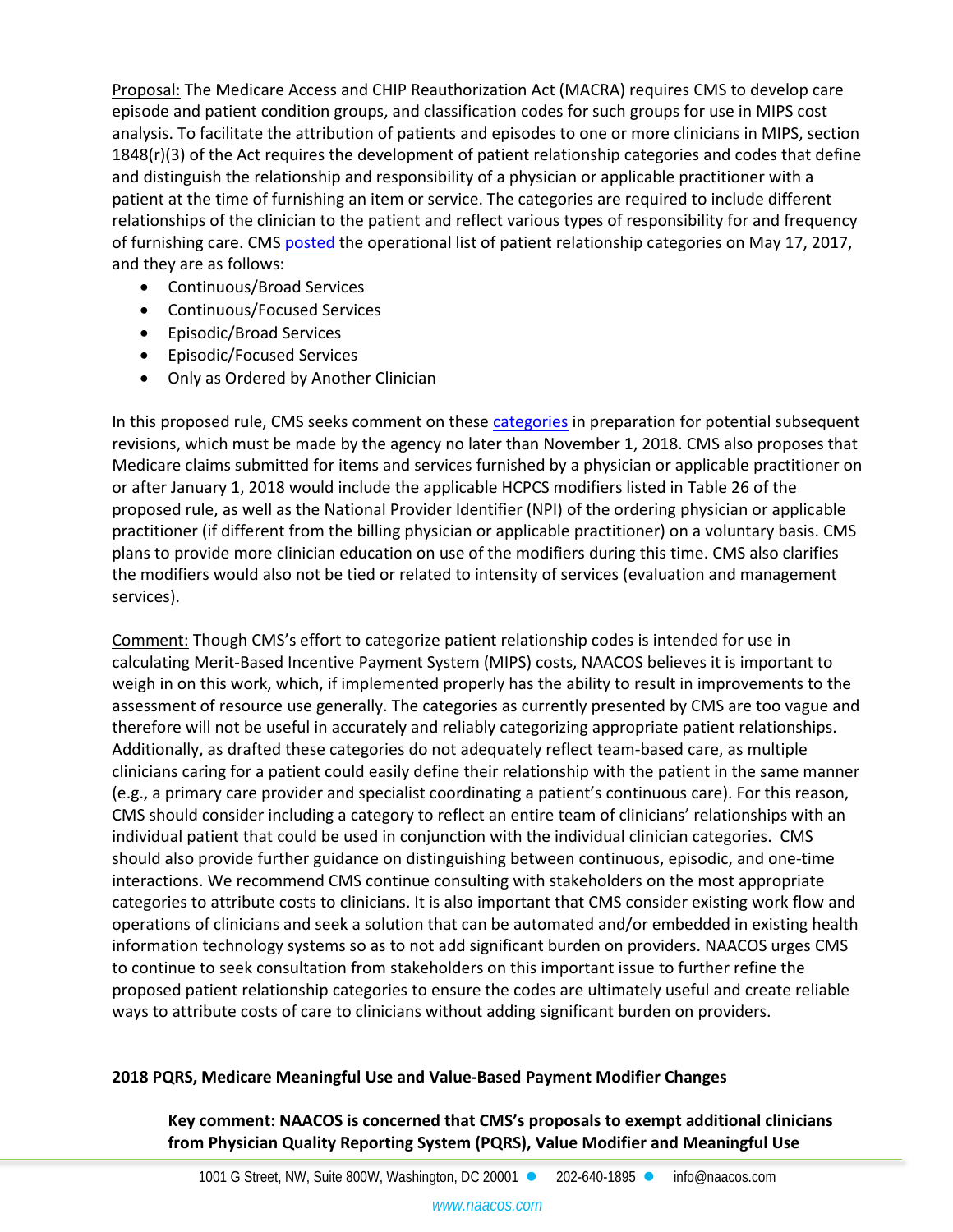Proposal: The Medicare Access and CHIP Reauthorization Act (MACRA) requires CMS to develop care episode and patient condition groups, and classification codes for such groups for use in MIPS cost analysis. To facilitate the attribution of patients and episodes to one or more clinicians in MIPS, section 1848(r)(3) of the Act requires the development of patient relationship categories and codes that define and distinguish the relationship and responsibility of a physician or applicable practitioner with a patient at the time of furnishing an item or service. The categories are required to include different relationships of the clinician to the patient and reflect various types of responsibility for and frequency of furnishing care. CMS [posted](https://www.cms.gov/Medicare/Quality-Initiatives-Patient-AssessmentInstruments/Value-Based-Programs/MACRA-MIPS-and-APMs/CMS-Patient-RelationshipCategories-and-Codes.pdf) the operational list of patient relationship categories on May 17, 2017, and they are as follows:

- Continuous/Broad Services
- Continuous/Focused Services
- Episodic/Broad Services
- Episodic/Focused Services
- Only as Ordered by Another Clinician

In this proposed rule, CMS seeks comment on these [categories](https://www.cms.gov/Medicare/Quality-InitiativesPatient-Assessment-Instruments/Value-Based-Programs/MACRA-MIPS-and-APMs/CMSPatient-Relationship-Categories-and-Codes.pdf) in preparation for potential subsequent revisions, which must be made by the agency no later than November 1, 2018. CMS also proposes that Medicare claims submitted for items and services furnished by a physician or applicable practitioner on or after January 1, 2018 would include the applicable HCPCS modifiers listed in Table 26 of the proposed rule, as well as the National Provider Identifier (NPI) of the ordering physician or applicable practitioner (if different from the billing physician or applicable practitioner) on a voluntary basis. CMS plans to provide more clinician education on use of the modifiers during this time. CMS also clarifies the modifiers would also not be tied or related to intensity of services (evaluation and management services).

Comment: Though CMS's effort to categorize patient relationship codes is intended for use in calculating Merit-Based Incentive Payment System (MIPS) costs, NAACOS believes it is important to weigh in on this work, which, if implemented properly has the ability to result in improvements to the assessment of resource use generally. The categories as currently presented by CMS are too vague and therefore will not be useful in accurately and reliably categorizing appropriate patient relationships. Additionally, as drafted these categories do not adequately reflect team-based care, as multiple clinicians caring for a patient could easily define their relationship with the patient in the same manner (e.g., a primary care provider and specialist coordinating a patient's continuous care). For this reason, CMS should consider including a category to reflect an entire team of clinicians' relationships with an individual patient that could be used in conjunction with the individual clinician categories. CMS should also provide further guidance on distinguishing between continuous, episodic, and one-time interactions. We recommend CMS continue consulting with stakeholders on the most appropriate categories to attribute costs to clinicians. It is also important that CMS consider existing work flow and operations of clinicians and seek a solution that can be automated and/or embedded in existing health information technology systems so as to not add significant burden on providers. NAACOS urges CMS to continue to seek consultation from stakeholders on this important issue to further refine the proposed patient relationship categories to ensure the codes are ultimately useful and create reliable ways to attribute costs of care to clinicians without adding significant burden on providers.

#### **2018 PQRS, Medicare Meaningful Use and Value-Based Payment Modifier Changes**

**Key comment: NAACOS is concerned that CMS's proposals to exempt additional clinicians from Physician Quality Reporting System (PQRS), Value Modifier and Meaningful Use**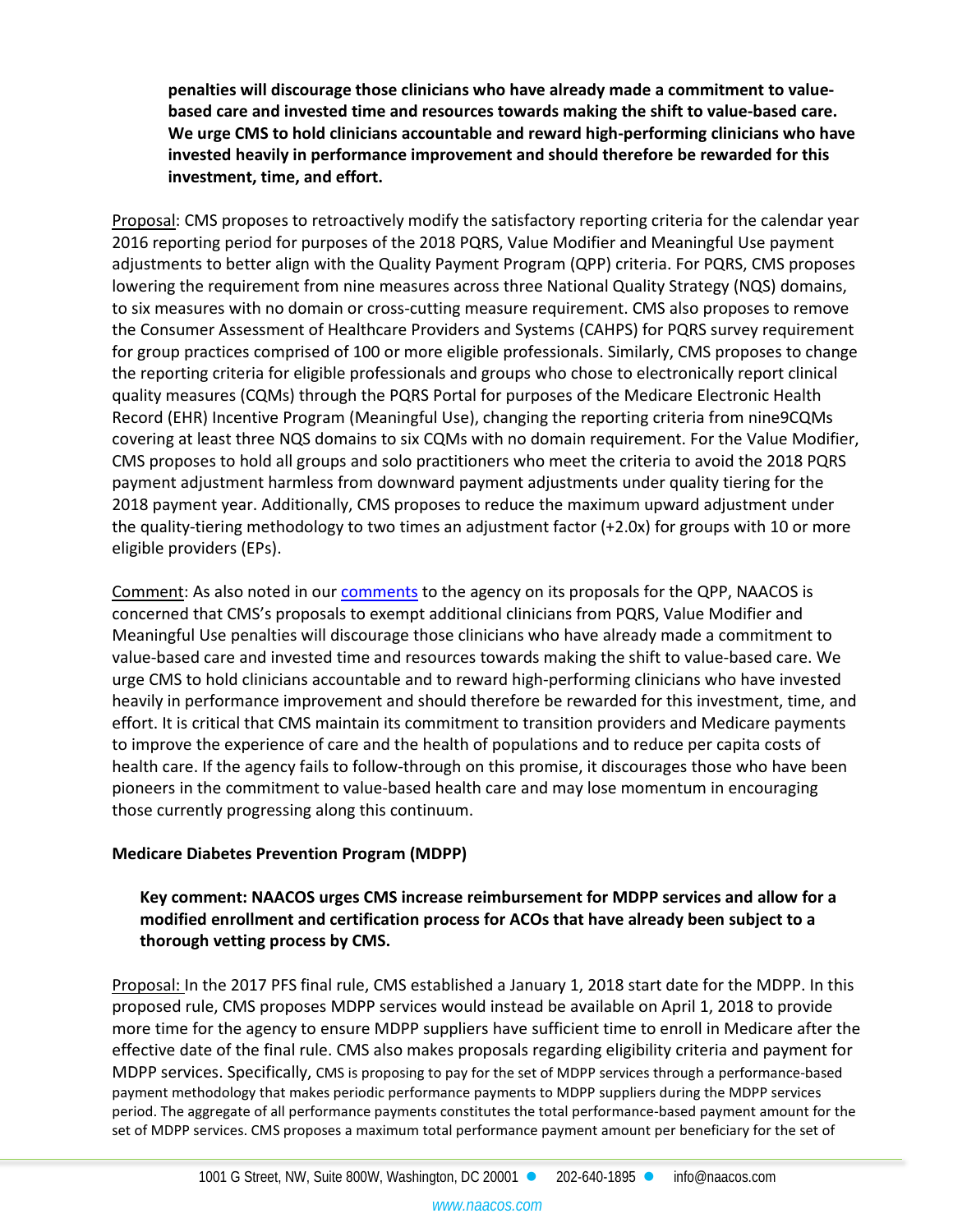**penalties will discourage those clinicians who have already made a commitment to valuebased care and invested time and resources towards making the shift to value-based care. We urge CMS to hold clinicians accountable and reward high-performing clinicians who have invested heavily in performance improvement and should therefore be rewarded for this investment, time, and effort.**

Proposal: CMS proposes to retroactively modify the satisfactory reporting criteria for the calendar year 2016 reporting period for purposes of the 2018 PQRS, Value Modifier and Meaningful Use payment adjustments to better align with the Quality Payment Program (QPP) criteria. For PQRS, CMS proposes lowering the requirement from nine measures across three National Quality Strategy (NQS) domains, to six measures with no domain or cross-cutting measure requirement. CMS also proposes to remove the Consumer Assessment of Healthcare Providers and Systems (CAHPS) for PQRS survey requirement for group practices comprised of 100 or more eligible professionals. Similarly, CMS proposes to change the reporting criteria for eligible professionals and groups who chose to electronically report clinical quality measures (CQMs) through the PQRS Portal for purposes of the Medicare Electronic Health Record (EHR) Incentive Program (Meaningful Use), changing the reporting criteria from nine9CQMs covering at least three NQS domains to six CQMs with no domain requirement. For the Value Modifier, CMS proposes to hold all groups and solo practitioners who meet the criteria to avoid the 2018 PQRS payment adjustment harmless from downward payment adjustments under quality tiering for the 2018 payment year. Additionally, CMS proposes to reduce the maximum upward adjustment under the quality-tiering methodology to two times an adjustment factor (+2.0x) for groups with 10 or more eligible providers (EPs).

Comment: As also noted in our [comments](https://www.naacos.com/assets/docs/pdf/naacosproposed2018qpprulecomments082117.pdf) to the agency on its proposals for the QPP, NAACOS is concerned that CMS's proposals to exempt additional clinicians from PQRS, Value Modifier and Meaningful Use penalties will discourage those clinicians who have already made a commitment to value-based care and invested time and resources towards making the shift to value-based care. We urge CMS to hold clinicians accountable and to reward high-performing clinicians who have invested heavily in performance improvement and should therefore be rewarded for this investment, time, and effort. It is critical that CMS maintain its commitment to transition providers and Medicare payments to improve the experience of care and the health of populations and to reduce per capita costs of health care. If the agency fails to follow-through on this promise, it discourages those who have been pioneers in the commitment to value-based health care and may lose momentum in encouraging those currently progressing along this continuum.

# **Medicare Diabetes Prevention Program (MDPP)**

# **Key comment: NAACOS urges CMS increase reimbursement for MDPP services and allow for a modified enrollment and certification process for ACOs that have already been subject to a thorough vetting process by CMS.**

Proposal: In the 2017 PFS final rule, CMS established a January 1, 2018 start date for the MDPP. In this proposed rule, CMS proposes MDPP services would instead be available on April 1, 2018 to provide more time for the agency to ensure MDPP suppliers have sufficient time to enroll in Medicare after the effective date of the final rule. CMS also makes proposals regarding eligibility criteria and payment for MDPP services. Specifically, CMS is proposing to pay for the set of MDPP services through a performance-based payment methodology that makes periodic performance payments to MDPP suppliers during the MDPP services period. The aggregate of all performance payments constitutes the total performance-based payment amount for the set of MDPP services. CMS proposes a maximum total performance payment amount per beneficiary for the set of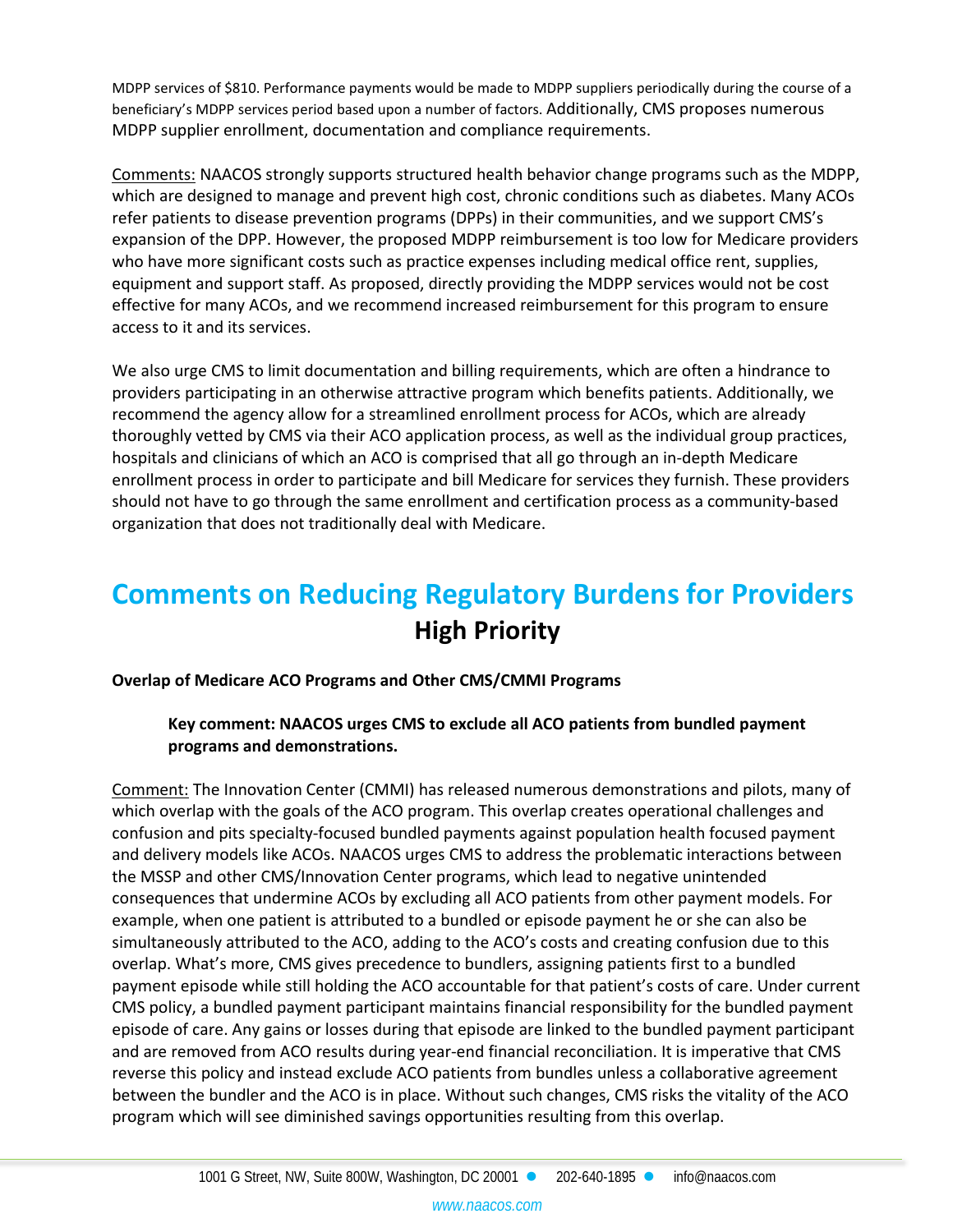MDPP services of \$810. Performance payments would be made to MDPP suppliers periodically during the course of a beneficiary's MDPP services period based upon a number of factors. Additionally, CMS proposes numerous MDPP supplier enrollment, documentation and compliance requirements.

Comments: NAACOS strongly supports structured health behavior change programs such as the MDPP, which are designed to manage and prevent high cost, chronic conditions such as diabetes. Many ACOs refer patients to disease prevention programs (DPPs) in their communities, and we support CMS's expansion of the DPP. However, the proposed MDPP reimbursement is too low for Medicare providers who have more significant costs such as practice expenses including medical office rent, supplies, equipment and support staff. As proposed, directly providing the MDPP services would not be cost effective for many ACOs, and we recommend increased reimbursement for this program to ensure access to it and its services.

We also urge CMS to limit documentation and billing requirements, which are often a hindrance to providers participating in an otherwise attractive program which benefits patients. Additionally, we recommend the agency allow for a streamlined enrollment process for ACOs, which are already thoroughly vetted by CMS via their ACO application process, as well as the individual group practices, hospitals and clinicians of which an ACO is comprised that all go through an in-depth Medicare enrollment process in order to participate and bill Medicare for services they furnish. These providers should not have to go through the same enrollment and certification process as a community-based organization that does not traditionally deal with Medicare.

# **Comments on Reducing Regulatory Burdens for Providers High Priority**

# **Overlap of Medicare ACO Programs and Other CMS/CMMI Programs**

# **Key comment: NAACOS urges CMS to exclude all ACO patients from bundled payment programs and demonstrations.**

Comment: The Innovation Center (CMMI) has released numerous demonstrations and pilots, many of which overlap with the goals of the ACO program. This overlap creates operational challenges and confusion and pits specialty-focused bundled payments against population health focused payment and delivery models like ACOs. NAACOS urges CMS to address the problematic interactions between the MSSP and other CMS/Innovation Center programs, which lead to negative unintended consequences that undermine ACOs by excluding all ACO patients from other payment models. For example, when one patient is attributed to a bundled or episode payment he or she can also be simultaneously attributed to the ACO, adding to the ACO's costs and creating confusion due to this overlap. What's more, CMS gives precedence to bundlers, assigning patients first to a bundled payment episode while still holding the ACO accountable for that patient's costs of care. Under current CMS policy, a bundled payment participant maintains financial responsibility for the bundled payment episode of care. Any gains or losses during that episode are linked to the bundled payment participant and are removed from ACO results during year-end financial reconciliation. It is imperative that CMS reverse this policy and instead exclude ACO patients from bundles unless a collaborative agreement between the bundler and the ACO is in place. Without such changes, CMS risks the vitality of the ACO program which will see diminished savings opportunities resulting from this overlap.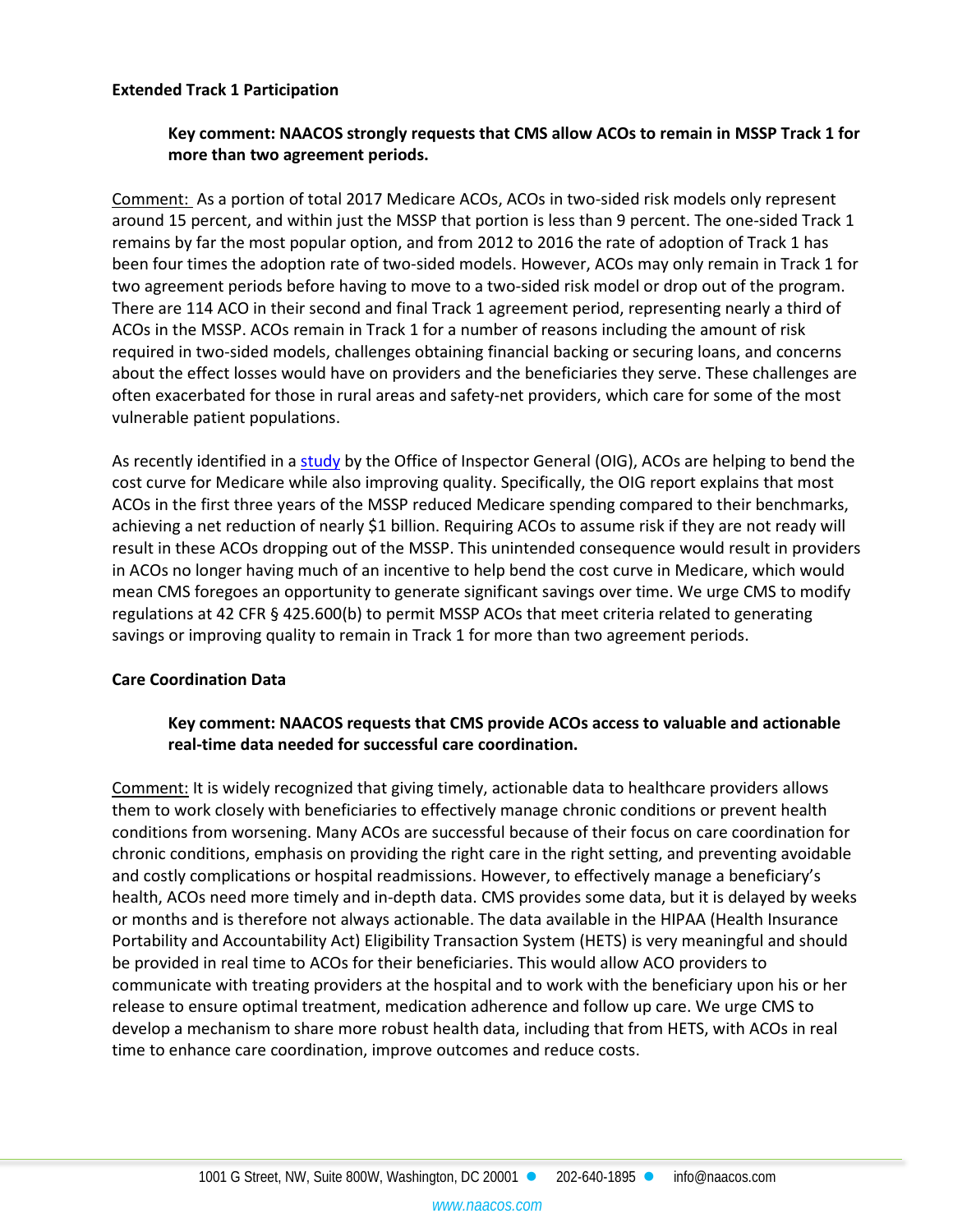#### **Extended Track 1 Participation**

#### **Key comment: NAACOS strongly requests that CMS allow ACOs to remain in MSSP Track 1 for more than two agreement periods.**

Comment: As a portion of total 2017 Medicare ACOs, ACOs in two-sided risk models only represent around 15 percent, and within just the MSSP that portion is less than 9 percent. The one-sided Track 1 remains by far the most popular option, and from 2012 to 2016 the rate of adoption of Track 1 has been four times the adoption rate of two-sided models. However, ACOs may only remain in Track 1 for two agreement periods before having to move to a two-sided risk model or drop out of the program. There are 114 ACO in their second and final Track 1 agreement period, representing nearly a third of ACOs in the MSSP. ACOs remain in Track 1 for a number of reasons including the amount of risk required in two-sided models, challenges obtaining financial backing or securing loans, and concerns about the effect losses would have on providers and the beneficiaries they serve. These challenges are often exacerbated for those in rural areas and safety-net providers, which care for some of the most vulnerable patient populations.

As recently identified in a [study](https://oig.hhs.gov/oei/reports/oei-02-15-00450.asp) by the Office of Inspector General (OIG), ACOs are helping to bend the cost curve for Medicare while also improving quality. Specifically, the OIG report explains that most ACOs in the first three years of the MSSP reduced Medicare spending compared to their benchmarks, achieving a net reduction of nearly \$1 billion. Requiring ACOs to assume risk if they are not ready will result in these ACOs dropping out of the MSSP. This unintended consequence would result in providers in ACOs no longer having much of an incentive to help bend the cost curve in Medicare, which would mean CMS foregoes an opportunity to generate significant savings over time. We urge CMS to modify regulations at 42 CFR § 425.600(b) to permit MSSP ACOs that meet criteria related to generating savings or improving quality to remain in Track 1 for more than two agreement periods.

#### **Care Coordination Data**

#### **Key comment: NAACOS requests that CMS provide ACOs access to valuable and actionable real-time data needed for successful care coordination.**

Comment: It is widely recognized that giving timely, actionable data to healthcare providers allows them to work closely with beneficiaries to effectively manage chronic conditions or prevent health conditions from worsening. Many ACOs are successful because of their focus on care coordination for chronic conditions, emphasis on providing the right care in the right setting, and preventing avoidable and costly complications or hospital readmissions. However, to effectively manage a beneficiary's health, ACOs need more timely and in-depth data. CMS provides some data, but it is delayed by weeks or months and is therefore not always actionable. The data available in the HIPAA (Health Insurance Portability and Accountability Act) Eligibility Transaction System (HETS) is very meaningful and should be provided in real time to ACOs for their beneficiaries. This would allow ACO providers to communicate with treating providers at the hospital and to work with the beneficiary upon his or her release to ensure optimal treatment, medication adherence and follow up care. We urge CMS to develop a mechanism to share more robust health data, including that from HETS, with ACOs in real time to enhance care coordination, improve outcomes and reduce costs.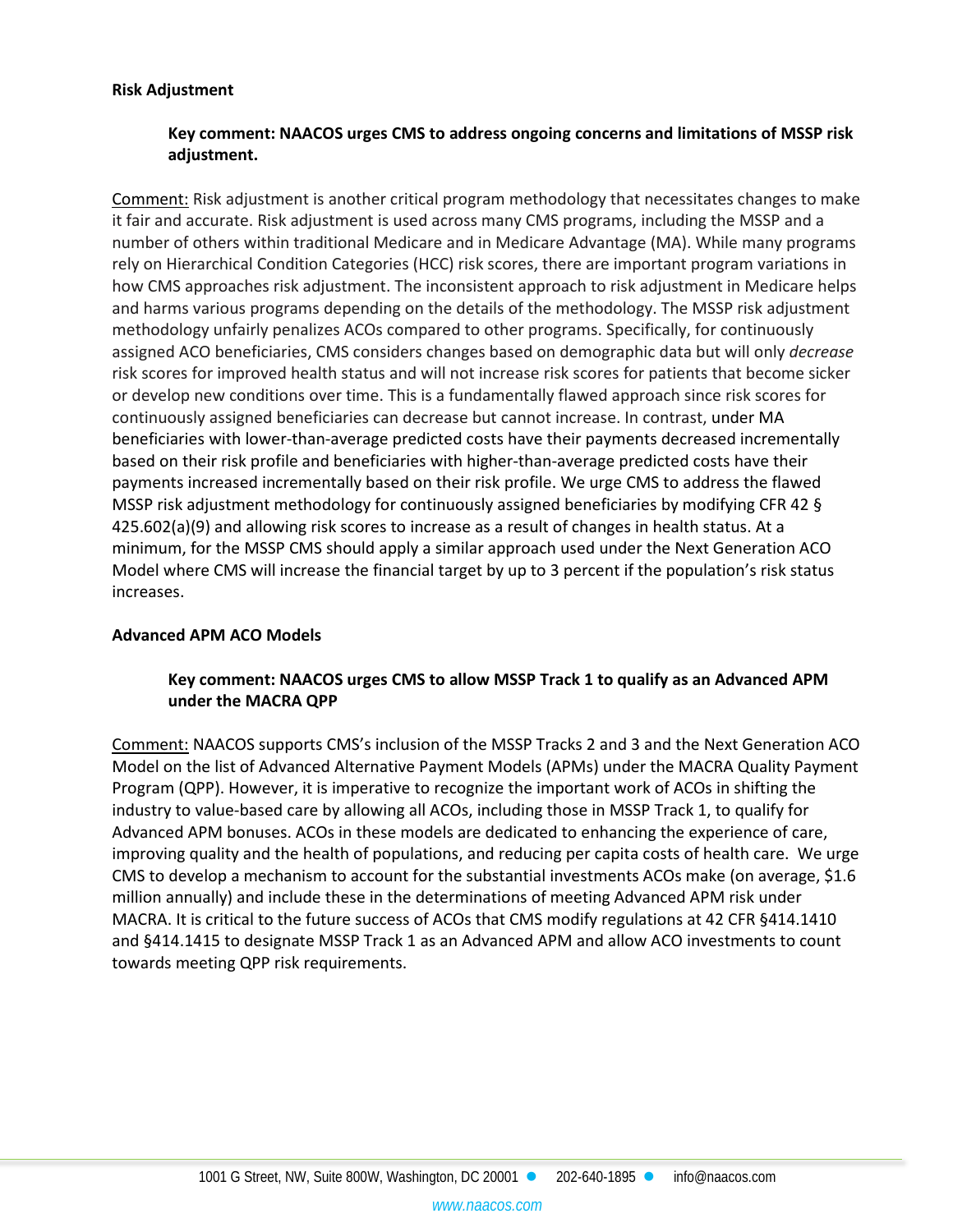#### **Risk Adjustment**

## **Key comment: NAACOS urges CMS to address ongoing concerns and limitations of MSSP risk adjustment.**

Comment: Risk adjustment is another critical program methodology that necessitates changes to make it fair and accurate. Risk adjustment is used across many CMS programs, including the MSSP and a number of others within traditional Medicare and in Medicare Advantage (MA). While many programs rely on Hierarchical Condition Categories (HCC) risk scores, there are important program variations in how CMS approaches risk adjustment. The inconsistent approach to risk adjustment in Medicare helps and harms various programs depending on the details of the methodology. The MSSP risk adjustment methodology unfairly penalizes ACOs compared to other programs. Specifically, for continuously assigned ACO beneficiaries, CMS considers changes based on demographic data but will only *decrease*  risk scores for improved health status and will not increase risk scores for patients that become sicker or develop new conditions over time. This is a fundamentally flawed approach since risk scores for continuously assigned beneficiaries can decrease but cannot increase. In contrast, under MA beneficiaries with lower-than-average predicted costs have their payments decreased incrementally based on their risk profile and beneficiaries with higher-than-average predicted costs have their payments increased incrementally based on their risk profile. We urge CMS to address the flawed MSSP risk adjustment methodology for continuously assigned beneficiaries by modifying CFR 42 § 425.602(a)(9) and allowing risk scores to increase as a result of changes in health status. At a minimum, for the MSSP CMS should apply a similar approach used under the Next Generation ACO Model where CMS will increase the financial target by up to 3 percent if the population's risk status increases.

#### **Advanced APM ACO Models**

#### **Key comment: NAACOS urges CMS to allow MSSP Track 1 to qualify as an Advanced APM under the MACRA QPP**

Comment: NAACOS supports CMS's inclusion of the MSSP Tracks 2 and 3 and the Next Generation ACO Model on the list of Advanced Alternative Payment Models (APMs) under the MACRA Quality Payment Program (QPP). However, it is imperative to recognize the important work of ACOs in shifting the industry to value-based care by allowing all ACOs, including those in MSSP Track 1, to qualify for Advanced APM bonuses. ACOs in these models are dedicated to enhancing the experience of care, improving quality and the health of populations, and reducing per capita costs of health care. We urge CMS to develop a mechanism to account for the substantial investments ACOs make (on average, \$1.6 million annually) and include these in the determinations of meeting Advanced APM risk under MACRA. It is critical to the future success of ACOs that CMS modify regulations at 42 CFR §414.1410 and §414.1415 to designate MSSP Track 1 as an Advanced APM and allow ACO investments to count towards meeting QPP risk requirements.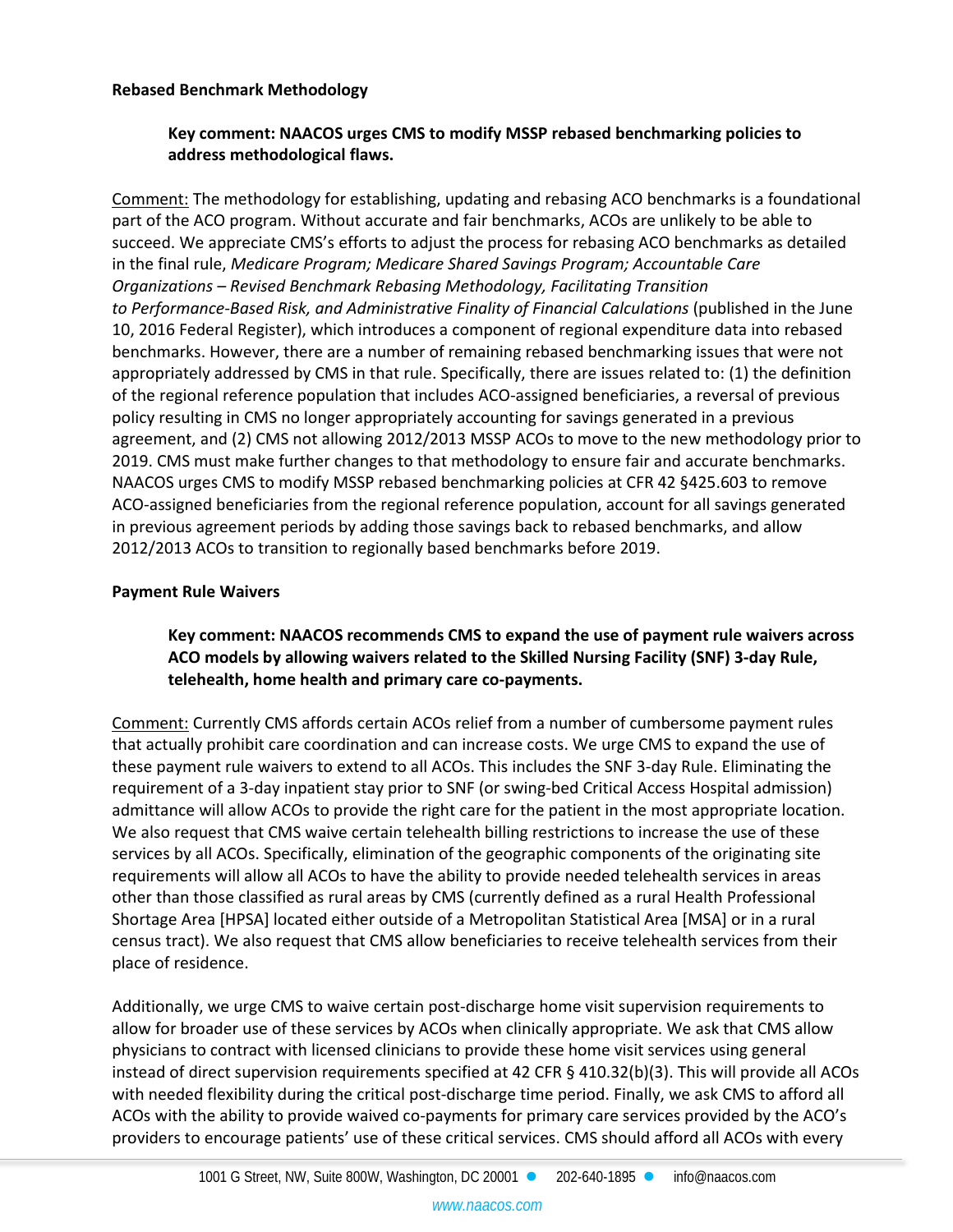#### **Rebased Benchmark Methodology**

## **Key comment: NAACOS urges CMS to modify MSSP rebased benchmarking policies to address methodological flaws.**

Comment: The methodology for establishing, updating and rebasing ACO benchmarks is a foundational part of the ACO program. Without accurate and fair benchmarks, ACOs are unlikely to be able to succeed. We appreciate CMS's efforts to adjust the process for rebasing ACO benchmarks as detailed in the final rule, *Medicare Program; Medicare Shared Savings Program; Accountable Care Organizations – Revised Benchmark Rebasing Methodology, Facilitating Transition to Performance-Based Risk, and Administrative Finality of Financial Calculations* (published in the June 10, 2016 Federal Register), which introduces a component of regional expenditure data into rebased benchmarks. However, there are a number of remaining rebased benchmarking issues that were not appropriately addressed by CMS in that rule. Specifically, there are issues related to: (1) the definition of the regional reference population that includes ACO-assigned beneficiaries, a reversal of previous policy resulting in CMS no longer appropriately accounting for savings generated in a previous agreement, and (2) CMS not allowing 2012/2013 MSSP ACOs to move to the new methodology prior to 2019. CMS must make further changes to that methodology to ensure fair and accurate benchmarks. NAACOS urges CMS to modify MSSP rebased benchmarking policies at CFR 42 §425.603 to remove ACO-assigned beneficiaries from the regional reference population, account for all savings generated in previous agreement periods by adding those savings back to rebased benchmarks, and allow 2012/2013 ACOs to transition to regionally based benchmarks before 2019.

#### **Payment Rule Waivers**

## **Key comment: NAACOS recommends CMS to expand the use of payment rule waivers across ACO models by allowing waivers related to the Skilled Nursing Facility (SNF) 3-day Rule, telehealth, home health and primary care co-payments.**

Comment: Currently CMS affords certain ACOs relief from a number of cumbersome payment rules that actually prohibit care coordination and can increase costs. We urge CMS to expand the use of these payment rule waivers to extend to all ACOs. This includes the SNF 3-day Rule. Eliminating the requirement of a 3-day inpatient stay prior to SNF (or swing-bed Critical Access Hospital admission) admittance will allow ACOs to provide the right care for the patient in the most appropriate location. We also request that CMS waive certain telehealth billing restrictions to increase the use of these services by all ACOs. Specifically, elimination of the geographic components of the originating site requirements will allow all ACOs to have the ability to provide needed telehealth services in areas other than those classified as rural areas by CMS (currently defined as a rural Health Professional Shortage Area [HPSA] located either outside of a Metropolitan Statistical Area [MSA] or in a rural census tract). We also request that CMS allow beneficiaries to receive telehealth services from their place of residence.

Additionally, we urge CMS to waive certain post-discharge home visit supervision requirements to allow for broader use of these services by ACOs when clinically appropriate. We ask that CMS allow physicians to contract with licensed clinicians to provide these home visit services using general instead of direct supervision requirements specified at 42 CFR § 410.32(b)(3). This will provide all ACOs with needed flexibility during the critical post-discharge time period. Finally, we ask CMS to afford all ACOs with the ability to provide waived co-payments for primary care services provided by the ACO's providers to encourage patients' use of these critical services. CMS should afford all ACOs with every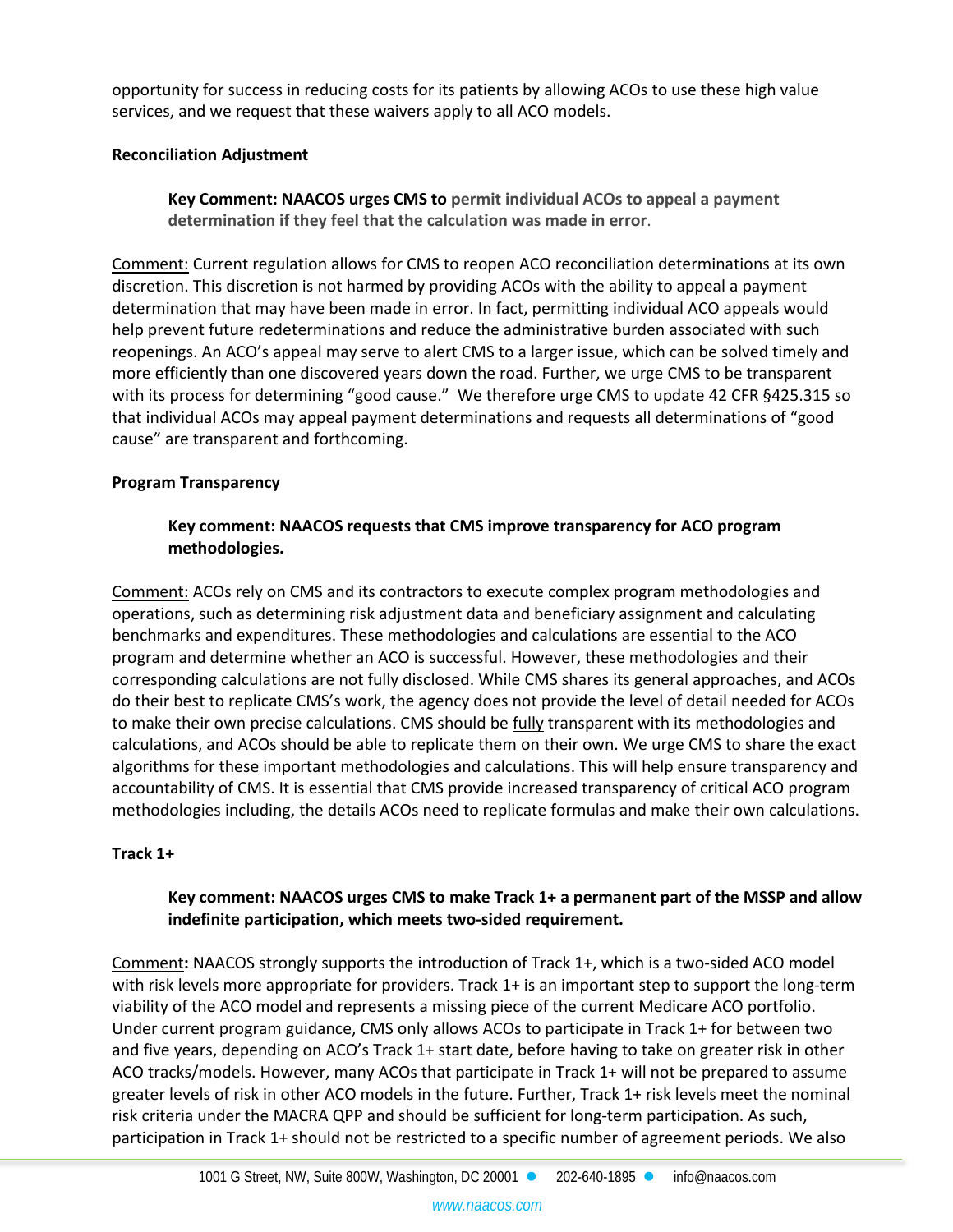opportunity for success in reducing costs for its patients by allowing ACOs to use these high value services, and we request that these waivers apply to all ACO models.

## **Reconciliation Adjustment**

**Key Comment: NAACOS urges CMS to permit individual ACOs to appeal a payment determination if they feel that the calculation was made in error**.

Comment: Current regulation allows for CMS to reopen ACO reconciliation determinations at its own discretion. This discretion is not harmed by providing ACOs with the ability to appeal a payment determination that may have been made in error. In fact, permitting individual ACO appeals would help prevent future redeterminations and reduce the administrative burden associated with such reopenings. An ACO's appeal may serve to alert CMS to a larger issue, which can be solved timely and more efficiently than one discovered years down the road. Further, we urge CMS to be transparent with its process for determining "good cause." We therefore urge CMS to update 42 CFR §425.315 so that individual ACOs may appeal payment determinations and requests all determinations of "good cause" are transparent and forthcoming.

#### **Program Transparency**

# **Key comment: NAACOS requests that CMS improve transparency for ACO program methodologies.**

Comment: ACOs rely on CMS and its contractors to execute complex program methodologies and operations, such as determining risk adjustment data and beneficiary assignment and calculating benchmarks and expenditures. These methodologies and calculations are essential to the ACO program and determine whether an ACO is successful. However, these methodologies and their corresponding calculations are not fully disclosed. While CMS shares its general approaches, and ACOs do their best to replicate CMS's work, the agency does not provide the level of detail needed for ACOs to make their own precise calculations. CMS should be fully transparent with its methodologies and calculations, and ACOs should be able to replicate them on their own. We urge CMS to share the exact algorithms for these important methodologies and calculations. This will help ensure transparency and accountability of CMS. It is essential that CMS provide increased transparency of critical ACO program methodologies including, the details ACOs need to replicate formulas and make their own calculations.

#### **Track 1+**

# **Key comment: NAACOS urges CMS to make Track 1+ a permanent part of the MSSP and allow indefinite participation, which meets two-sided requirement.**

Comment**:** NAACOS strongly supports the introduction of Track 1+, which is a two-sided ACO model with risk levels more appropriate for providers. Track 1+ is an important step to support the long-term viability of the ACO model and represents a missing piece of the current Medicare ACO portfolio. Under current program guidance, CMS only allows ACOs to participate in Track 1+ for between two and five years, depending on ACO's Track 1+ start date, before having to take on greater risk in other ACO tracks/models. However, many ACOs that participate in Track 1+ will not be prepared to assume greater levels of risk in other ACO models in the future. Further, Track 1+ risk levels meet the nominal risk criteria under the MACRA QPP and should be sufficient for long-term participation. As such, participation in Track 1+ should not be restricted to a specific number of agreement periods. We also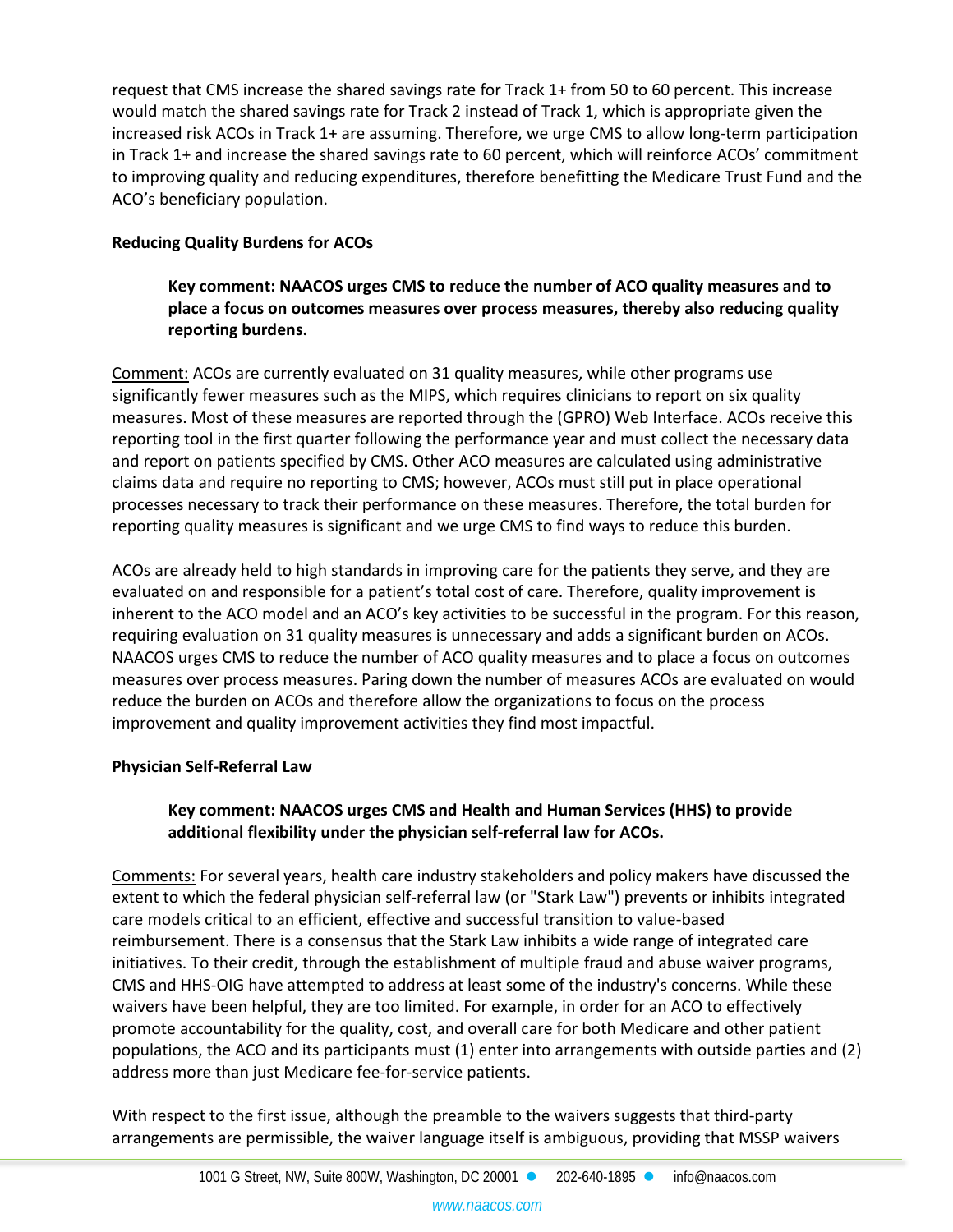request that CMS increase the shared savings rate for Track 1+ from 50 to 60 percent. This increase would match the shared savings rate for Track 2 instead of Track 1, which is appropriate given the increased risk ACOs in Track 1+ are assuming. Therefore, we urge CMS to allow long-term participation in Track 1+ and increase the shared savings rate to 60 percent, which will reinforce ACOs' commitment to improving quality and reducing expenditures, therefore benefitting the Medicare Trust Fund and the ACO's beneficiary population.

# **Reducing Quality Burdens for ACOs**

**Key comment: NAACOS urges CMS to reduce the number of ACO quality measures and to place a focus on outcomes measures over process measures, thereby also reducing quality reporting burdens.**

Comment: ACOs are currently evaluated on 31 quality measures, while other programs use significantly fewer measures such as the MIPS, which requires clinicians to report on six quality measures. Most of these measures are reported through the (GPRO) Web Interface. ACOs receive this reporting tool in the first quarter following the performance year and must collect the necessary data and report on patients specified by CMS. Other ACO measures are calculated using administrative claims data and require no reporting to CMS; however, ACOs must still put in place operational processes necessary to track their performance on these measures. Therefore, the total burden for reporting quality measures is significant and we urge CMS to find ways to reduce this burden.

ACOs are already held to high standards in improving care for the patients they serve, and they are evaluated on and responsible for a patient's total cost of care. Therefore, quality improvement is inherent to the ACO model and an ACO's key activities to be successful in the program. For this reason, requiring evaluation on 31 quality measures is unnecessary and adds a significant burden on ACOs. NAACOS urges CMS to reduce the number of ACO quality measures and to place a focus on outcomes measures over process measures. Paring down the number of measures ACOs are evaluated on would reduce the burden on ACOs and therefore allow the organizations to focus on the process improvement and quality improvement activities they find most impactful.

# **Physician Self-Referral Law**

# **Key comment: NAACOS urges CMS and Health and Human Services (HHS) to provide additional flexibility under the physician self-referral law for ACOs.**

Comments: For several years, health care industry stakeholders and policy makers have discussed the extent to which the federal physician self-referral law (or "Stark Law") prevents or inhibits integrated care models critical to an efficient, effective and successful transition to value-based reimbursement. There is a consensus that the Stark Law inhibits a wide range of integrated care initiatives. To their credit, through the establishment of multiple fraud and abuse waiver programs, CMS and HHS-OIG have attempted to address at least some of the industry's concerns. While these waivers have been helpful, they are too limited. For example, in order for an ACO to effectively promote accountability for the quality, cost, and overall care for both Medicare and other patient populations, the ACO and its participants must (1) enter into arrangements with outside parties and (2) address more than just Medicare fee-for-service patients.

With respect to the first issue, although the preamble to the waivers suggests that third-party arrangements are permissible, the waiver language itself is ambiguous, providing that MSSP waivers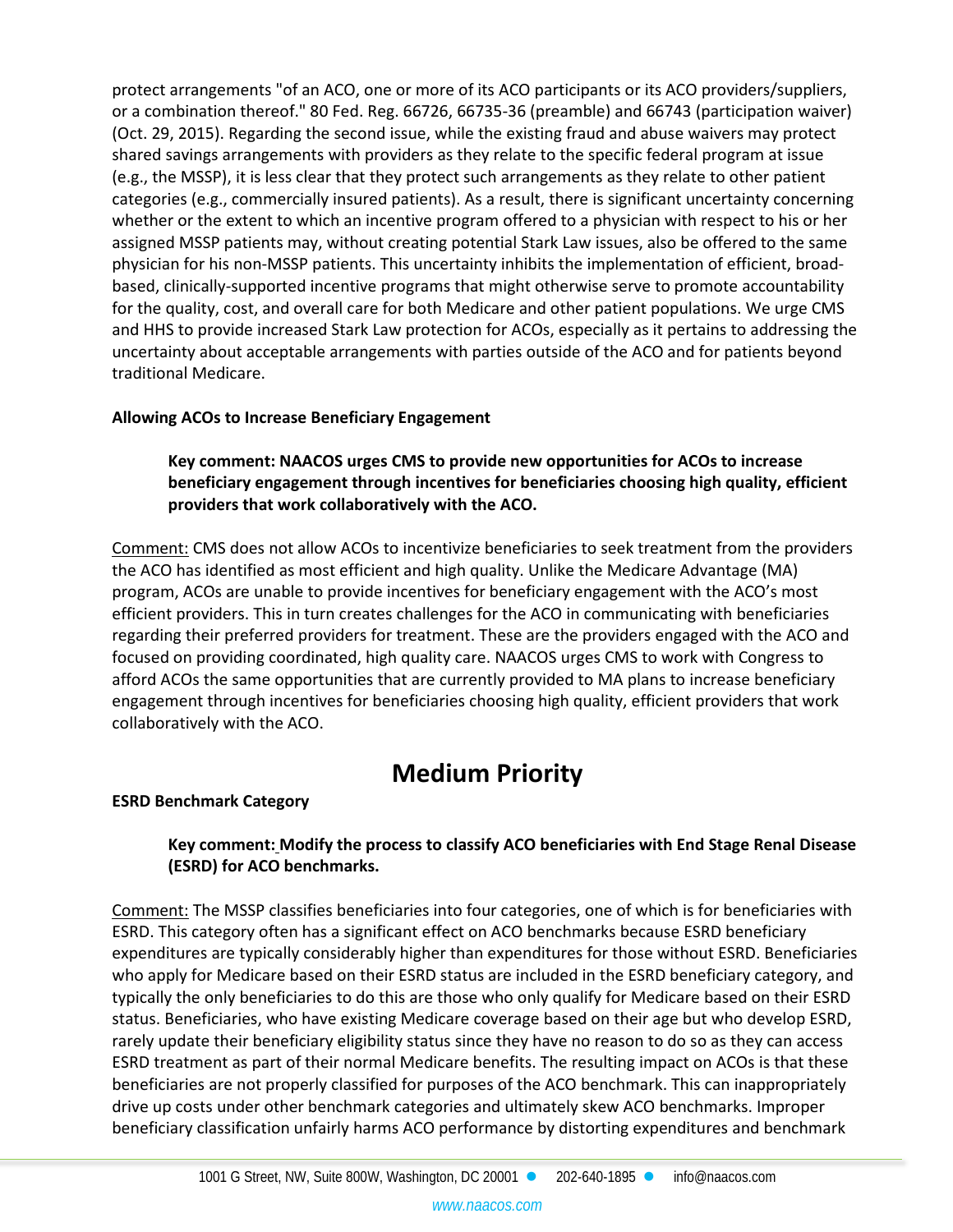protect arrangements "of an ACO, one or more of its ACO participants or its ACO providers/suppliers, or a combination thereof." 80 Fed. Reg. 66726, 66735-36 (preamble) and 66743 (participation waiver) (Oct. 29, 2015). Regarding the second issue, while the existing fraud and abuse waivers may protect shared savings arrangements with providers as they relate to the specific federal program at issue (e.g., the MSSP), it is less clear that they protect such arrangements as they relate to other patient categories (e.g., commercially insured patients). As a result, there is significant uncertainty concerning whether or the extent to which an incentive program offered to a physician with respect to his or her assigned MSSP patients may, without creating potential Stark Law issues, also be offered to the same physician for his non-MSSP patients. This uncertainty inhibits the implementation of efficient, broadbased, clinically-supported incentive programs that might otherwise serve to promote accountability for the quality, cost, and overall care for both Medicare and other patient populations. We urge CMS and HHS to provide increased Stark Law protection for ACOs, especially as it pertains to addressing the uncertainty about acceptable arrangements with parties outside of the ACO and for patients beyond traditional Medicare.

#### **Allowing ACOs to Increase Beneficiary Engagement**

**Key comment: NAACOS urges CMS to provide new opportunities for ACOs to increase beneficiary engagement through incentives for beneficiaries choosing high quality, efficient providers that work collaboratively with the ACO.**

Comment: CMS does not allow ACOs to incentivize beneficiaries to seek treatment from the providers the ACO has identified as most efficient and high quality. Unlike the Medicare Advantage (MA) program, ACOs are unable to provide incentives for beneficiary engagement with the ACO's most efficient providers. This in turn creates challenges for the ACO in communicating with beneficiaries regarding their preferred providers for treatment. These are the providers engaged with the ACO and focused on providing coordinated, high quality care. NAACOS urges CMS to work with Congress to afford ACOs the same opportunities that are currently provided to MA plans to increase beneficiary engagement through incentives for beneficiaries choosing high quality, efficient providers that work collaboratively with the ACO.

# **Medium Priority**

# **ESRD Benchmark Category**

# **Key comment: Modify the process to classify ACO beneficiaries with End Stage Renal Disease (ESRD) for ACO benchmarks.**

Comment: The MSSP classifies beneficiaries into four categories, one of which is for beneficiaries with ESRD. This category often has a significant effect on ACO benchmarks because ESRD beneficiary expenditures are typically considerably higher than expenditures for those without ESRD. Beneficiaries who apply for Medicare based on their ESRD status are included in the ESRD beneficiary category, and typically the only beneficiaries to do this are those who only qualify for Medicare based on their ESRD status. Beneficiaries, who have existing Medicare coverage based on their age but who develop ESRD, rarely update their beneficiary eligibility status since they have no reason to do so as they can access ESRD treatment as part of their normal Medicare benefits. The resulting impact on ACOs is that these beneficiaries are not properly classified for purposes of the ACO benchmark. This can inappropriately drive up costs under other benchmark categories and ultimately skew ACO benchmarks. Improper beneficiary classification unfairly harms ACO performance by distorting expenditures and benchmark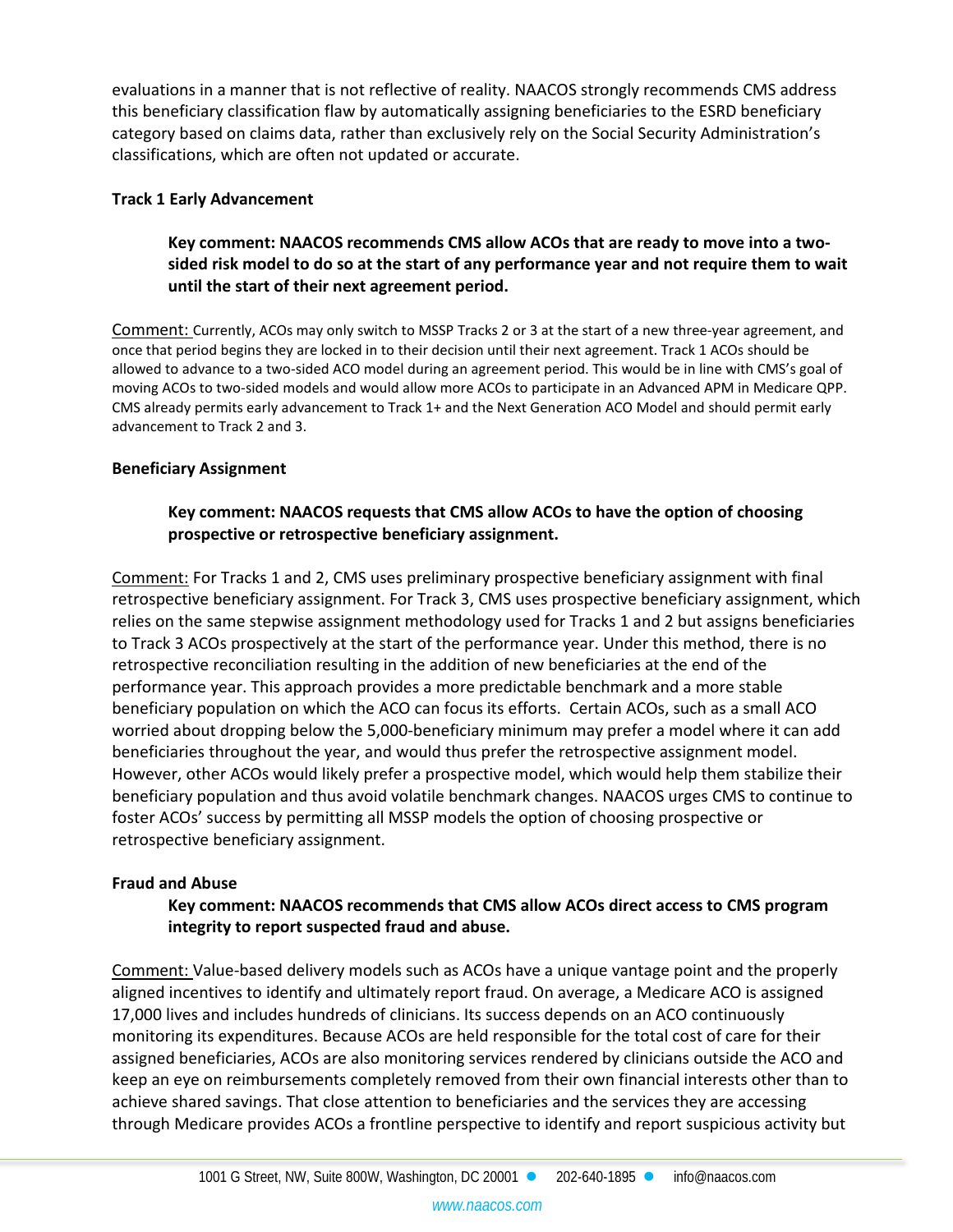evaluations in a manner that is not reflective of reality. NAACOS strongly recommends CMS address this beneficiary classification flaw by automatically assigning beneficiaries to the ESRD beneficiary category based on claims data, rather than exclusively rely on the Social Security Administration's classifications, which are often not updated or accurate.

#### **Track 1 Early Advancement**

## **Key comment: NAACOS recommends CMS allow ACOs that are ready to move into a twosided risk model to do so at the start of any performance year and not require them to wait until the start of their next agreement period.**

Comment: Currently, ACOs may only switch to MSSP Tracks 2 or 3 at the start of a new three-year agreement, and once that period begins they are locked in to their decision until their next agreement. Track 1 ACOs should be allowed to advance to a two-sided ACO model during an agreement period. This would be in line with CMS's goal of moving ACOs to two-sided models and would allow more ACOs to participate in an Advanced APM in Medicare QPP. CMS already permits early advancement to Track 1+ and the Next Generation ACO Model and should permit early advancement to Track 2 and 3.

#### **Beneficiary Assignment**

## **Key comment: NAACOS requests that CMS allow ACOs to have the option of choosing prospective or retrospective beneficiary assignment.**

Comment: For Tracks 1 and 2, CMS uses preliminary prospective beneficiary assignment with final retrospective beneficiary assignment. For Track 3, CMS uses prospective beneficiary assignment, which relies on the same stepwise assignment methodology used for Tracks 1 and 2 but assigns beneficiaries to Track 3 ACOs prospectively at the start of the performance year. Under this method, there is no retrospective reconciliation resulting in the addition of new beneficiaries at the end of the performance year. This approach provides a more predictable benchmark and a more stable beneficiary population on which the ACO can focus its efforts. Certain ACOs, such as a small ACO worried about dropping below the 5,000-beneficiary minimum may prefer a model where it can add beneficiaries throughout the year, and would thus prefer the retrospective assignment model. However, other ACOs would likely prefer a prospective model, which would help them stabilize their beneficiary population and thus avoid volatile benchmark changes. NAACOS urges CMS to continue to foster ACOs' success by permitting all MSSP models the option of choosing prospective or retrospective beneficiary assignment.

#### **Fraud and Abuse**

#### **Key comment: NAACOS recommends that CMS allow ACOs direct access to CMS program integrity to report suspected fraud and abuse.**

Comment: Value-based delivery models such as ACOs have a unique vantage point and the properly aligned incentives to identify and ultimately report fraud. On average, a Medicare ACO is assigned 17,000 lives and includes hundreds of clinicians. Its success depends on an ACO continuously monitoring its expenditures. Because ACOs are held responsible for the total cost of care for their assigned beneficiaries, ACOs are also monitoring services rendered by clinicians outside the ACO and keep an eye on reimbursements completely removed from their own financial interests other than to achieve shared savings. That close attention to beneficiaries and the services they are accessing through Medicare provides ACOs a frontline perspective to identify and report suspicious activity but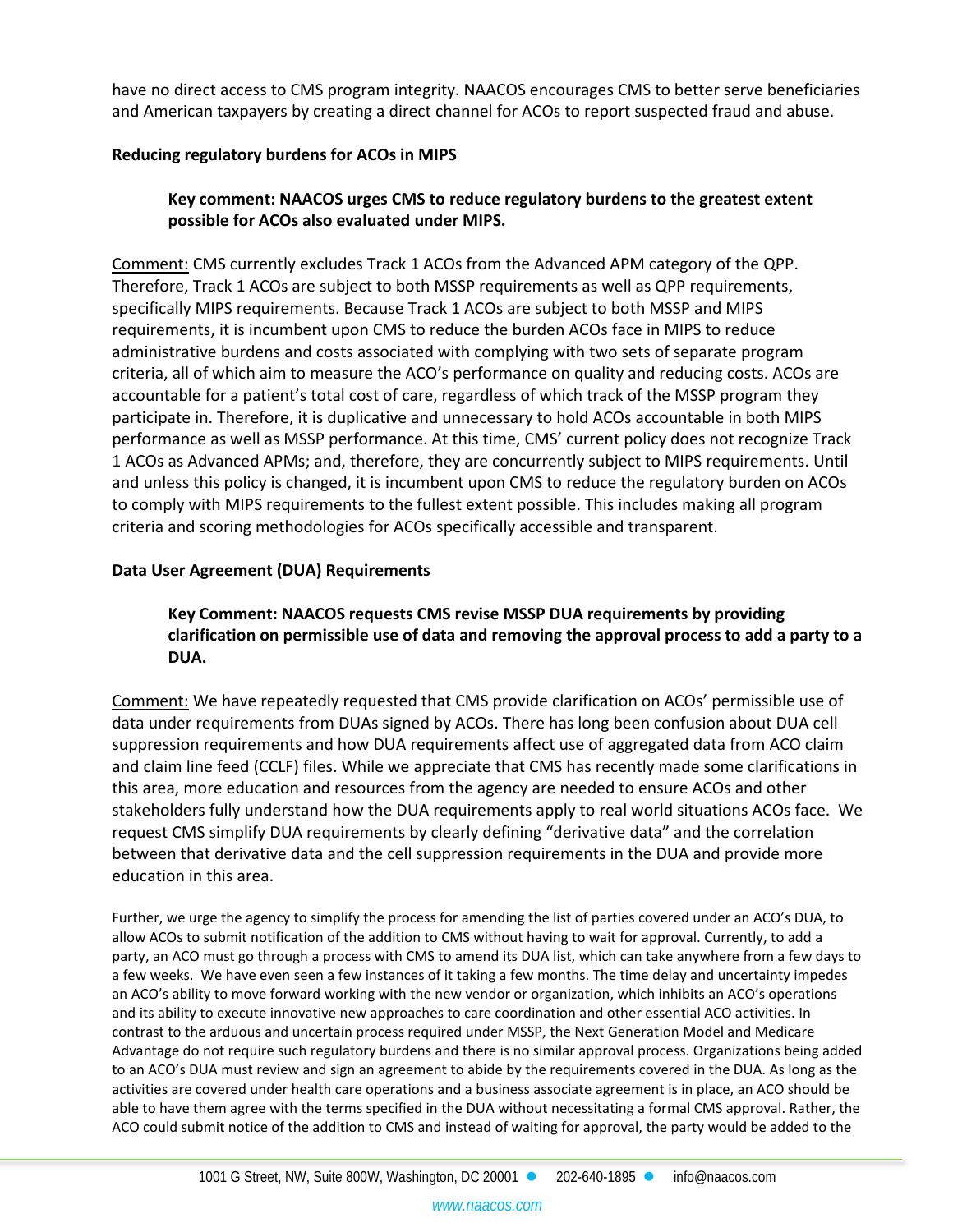have no direct access to CMS program integrity. NAACOS encourages CMS to better serve beneficiaries and American taxpayers by creating a direct channel for ACOs to report suspected fraud and abuse.

## **Reducing regulatory burdens for ACOs in MIPS**

# **Key comment: NAACOS urges CMS to reduce regulatory burdens to the greatest extent possible for ACOs also evaluated under MIPS.**

Comment: CMS currently excludes Track 1 ACOs from the Advanced APM category of the QPP. Therefore, Track 1 ACOs are subject to both MSSP requirements as well as QPP requirements, specifically MIPS requirements. Because Track 1 ACOs are subject to both MSSP and MIPS requirements, it is incumbent upon CMS to reduce the burden ACOs face in MIPS to reduce administrative burdens and costs associated with complying with two sets of separate program criteria, all of which aim to measure the ACO's performance on quality and reducing costs. ACOs are accountable for a patient's total cost of care, regardless of which track of the MSSP program they participate in. Therefore, it is duplicative and unnecessary to hold ACOs accountable in both MIPS performance as well as MSSP performance. At this time, CMS' current policy does not recognize Track 1 ACOs as Advanced APMs; and, therefore, they are concurrently subject to MIPS requirements. Until and unless this policy is changed, it is incumbent upon CMS to reduce the regulatory burden on ACOs to comply with MIPS requirements to the fullest extent possible. This includes making all program criteria and scoring methodologies for ACOs specifically accessible and transparent.

#### **Data User Agreement (DUA) Requirements**

## **Key Comment: NAACOS requests CMS revise MSSP DUA requirements by providing clarification on permissible use of data and removing the approval process to add a party to a DUA.**

Comment: We have repeatedly requested that CMS provide clarification on ACOs' permissible use of data under requirements from DUAs signed by ACOs. There has long been confusion about DUA cell suppression requirements and how DUA requirements affect use of aggregated data from ACO claim and claim line feed (CCLF) files. While we appreciate that CMS has recently made some clarifications in this area, more education and resources from the agency are needed to ensure ACOs and other stakeholders fully understand how the DUA requirements apply to real world situations ACOs face. We request CMS simplify DUA requirements by clearly defining "derivative data" and the correlation between that derivative data and the cell suppression requirements in the DUA and provide more education in this area.

Further, we urge the agency to simplify the process for amending the list of parties covered under an ACO's DUA, to allow ACOs to submit notification of the addition to CMS without having to wait for approval. Currently, to add a party, an ACO must go through a process with CMS to amend its DUA list, which can take anywhere from a few days to a few weeks. We have even seen a few instances of it taking a few months. The time delay and uncertainty impedes an ACO's ability to move forward working with the new vendor or organization, which inhibits an ACO's operations and its ability to execute innovative new approaches to care coordination and other essential ACO activities. In contrast to the arduous and uncertain process required under MSSP, the Next Generation Model and Medicare Advantage do not require such regulatory burdens and there is no similar approval process. Organizations being added to an ACO's DUA must review and sign an agreement to abide by the requirements covered in the DUA. As long as the activities are covered under health care operations and a business associate agreement is in place, an ACO should be able to have them agree with the terms specified in the DUA without necessitating a formal CMS approval. Rather, the ACO could submit notice of the addition to CMS and instead of waiting for approval, the party would be added to the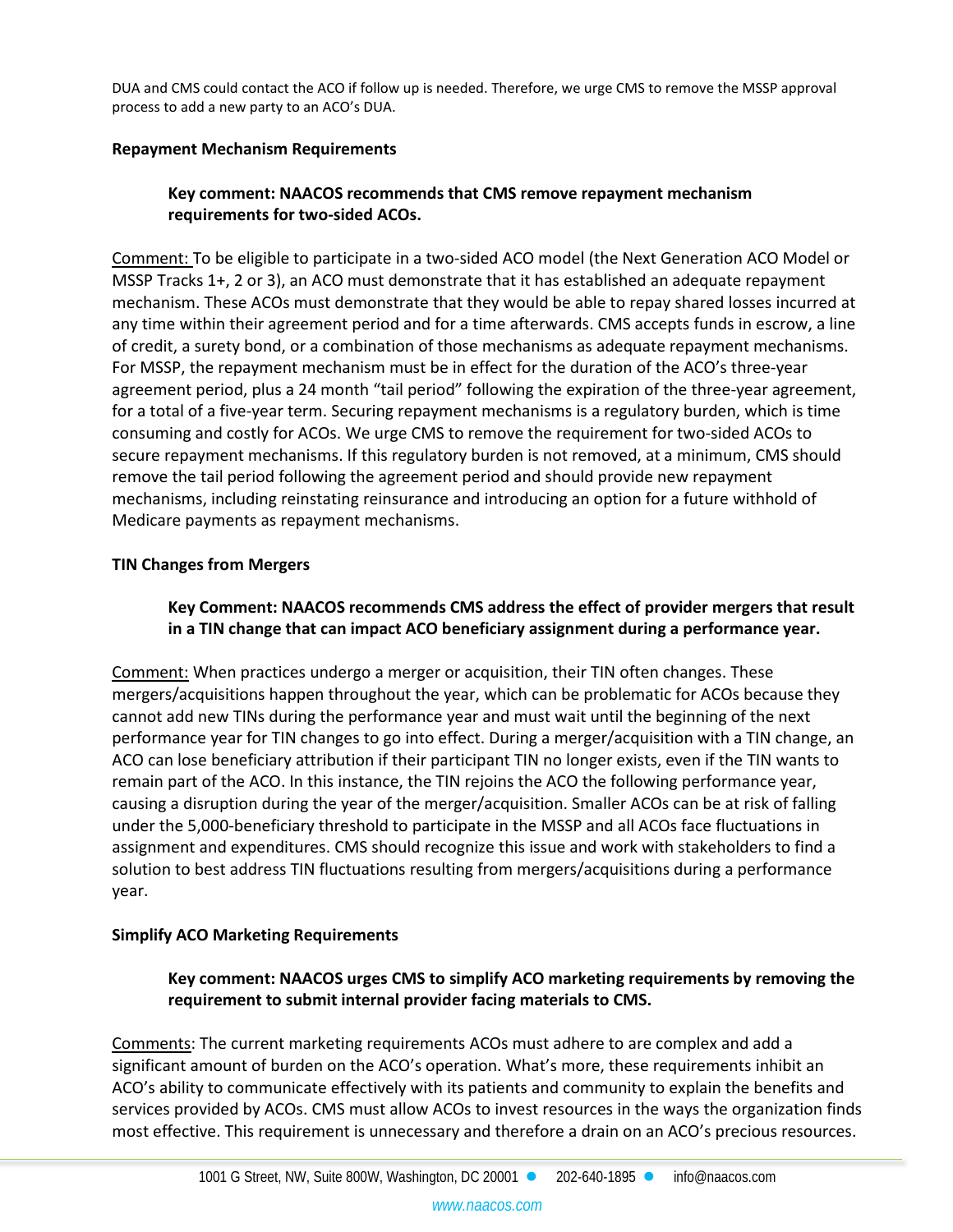DUA and CMS could contact the ACO if follow up is needed. Therefore, we urge CMS to remove the MSSP approval process to add a new party to an ACO's DUA.

#### **Repayment Mechanism Requirements**

# **Key comment: NAACOS recommends that CMS remove repayment mechanism requirements for two-sided ACOs.**

Comment: To be eligible to participate in a two-sided ACO model (the Next Generation ACO Model or MSSP Tracks 1+, 2 or 3), an ACO must demonstrate that it has established an adequate repayment mechanism. These ACOs must demonstrate that they would be able to repay shared losses incurred at any time within their agreement period and for a time afterwards. CMS accepts funds in escrow, a line of credit, a surety bond, or a combination of those mechanisms as adequate repayment mechanisms. For MSSP, the repayment mechanism must be in effect for the duration of the ACO's three-year agreement period, plus a 24 month "tail period" following the expiration of the three-year agreement, for a total of a five-year term. Securing repayment mechanisms is a regulatory burden, which is time consuming and costly for ACOs. We urge CMS to remove the requirement for two-sided ACOs to secure repayment mechanisms. If this regulatory burden is not removed, at a minimum, CMS should remove the tail period following the agreement period and should provide new repayment mechanisms, including reinstating reinsurance and introducing an option for a future withhold of Medicare payments as repayment mechanisms.

#### **TIN Changes from Mergers**

## **Key Comment: NAACOS recommends CMS address the effect of provider mergers that result in a TIN change that can impact ACO beneficiary assignment during a performance year.**

Comment: When practices undergo a merger or acquisition, their TIN often changes. These mergers/acquisitions happen throughout the year, which can be problematic for ACOs because they cannot add new TINs during the performance year and must wait until the beginning of the next performance year for TIN changes to go into effect. During a merger/acquisition with a TIN change, an ACO can lose beneficiary attribution if their participant TIN no longer exists, even if the TIN wants to remain part of the ACO. In this instance, the TIN rejoins the ACO the following performance year, causing a disruption during the year of the merger/acquisition. Smaller ACOs can be at risk of falling under the 5,000-beneficiary threshold to participate in the MSSP and all ACOs face fluctuations in assignment and expenditures. CMS should recognize this issue and work with stakeholders to find a solution to best address TIN fluctuations resulting from mergers/acquisitions during a performance year.

#### **Simplify ACO Marketing Requirements**

#### **Key comment: NAACOS urges CMS to simplify ACO marketing requirements by removing the requirement to submit internal provider facing materials to CMS.**

Comments: The current marketing requirements ACOs must adhere to are complex and add a significant amount of burden on the ACO's operation. What's more, these requirements inhibit an ACO's ability to communicate effectively with its patients and community to explain the benefits and services provided by ACOs. CMS must allow ACOs to invest resources in the ways the organization finds most effective. This requirement is unnecessary and therefore a drain on an ACO's precious resources.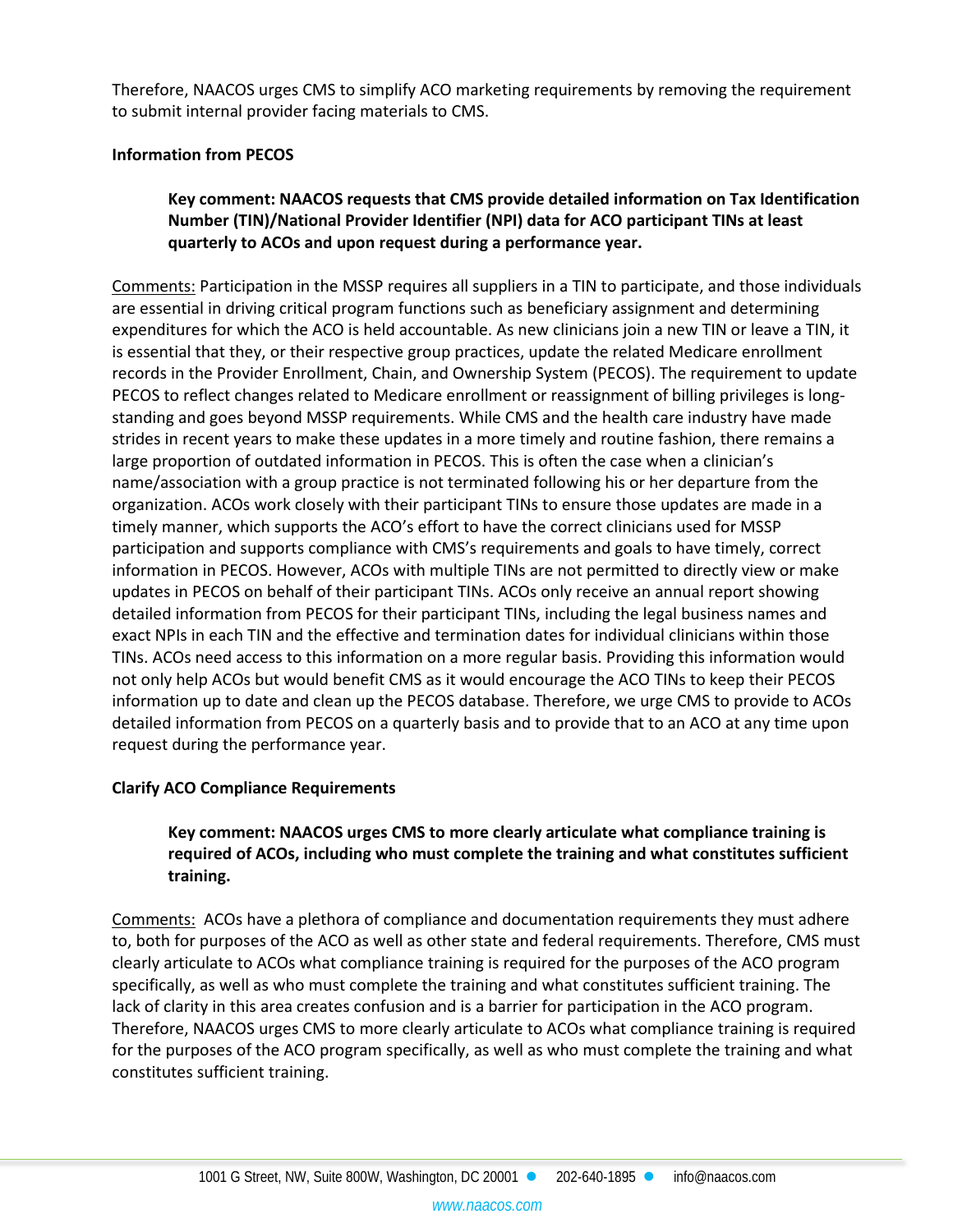Therefore, NAACOS urges CMS to simplify ACO marketing requirements by removing the requirement to submit internal provider facing materials to CMS.

#### **Information from PECOS**

## **Key comment: NAACOS requests that CMS provide detailed information on Tax Identification Number (TIN)/National Provider Identifier (NPI) data for ACO participant TINs at least quarterly to ACOs and upon request during a performance year.**

Comments: Participation in the MSSP requires all suppliers in a TIN to participate, and those individuals are essential in driving critical program functions such as beneficiary assignment and determining expenditures for which the ACO is held accountable. As new clinicians join a new TIN or leave a TIN, it is essential that they, or their respective group practices, update the related Medicare enrollment records in the Provider Enrollment, Chain, and Ownership System (PECOS). The requirement to update PECOS to reflect changes related to Medicare enrollment or reassignment of billing privileges is longstanding and goes beyond MSSP requirements. While CMS and the health care industry have made strides in recent years to make these updates in a more timely and routine fashion, there remains a large proportion of outdated information in PECOS. This is often the case when a clinician's name/association with a group practice is not terminated following his or her departure from the organization. ACOs work closely with their participant TINs to ensure those updates are made in a timely manner, which supports the ACO's effort to have the correct clinicians used for MSSP participation and supports compliance with CMS's requirements and goals to have timely, correct information in PECOS. However, ACOs with multiple TINs are not permitted to directly view or make updates in PECOS on behalf of their participant TINs. ACOs only receive an annual report showing detailed information from PECOS for their participant TINs, including the legal business names and exact NPIs in each TIN and the effective and termination dates for individual clinicians within those TINs. ACOs need access to this information on a more regular basis. Providing this information would not only help ACOs but would benefit CMS as it would encourage the ACO TINs to keep their PECOS information up to date and clean up the PECOS database. Therefore, we urge CMS to provide to ACOs detailed information from PECOS on a quarterly basis and to provide that to an ACO at any time upon request during the performance year.

#### **Clarify ACO Compliance Requirements**

# **Key comment: NAACOS urges CMS to more clearly articulate what compliance training is required of ACOs, including who must complete the training and what constitutes sufficient training.**

Comments: ACOs have a plethora of compliance and documentation requirements they must adhere to, both for purposes of the ACO as well as other state and federal requirements. Therefore, CMS must clearly articulate to ACOs what compliance training is required for the purposes of the ACO program specifically, as well as who must complete the training and what constitutes sufficient training. The lack of clarity in this area creates confusion and is a barrier for participation in the ACO program. Therefore, NAACOS urges CMS to more clearly articulate to ACOs what compliance training is required for the purposes of the ACO program specifically, as well as who must complete the training and what constitutes sufficient training.